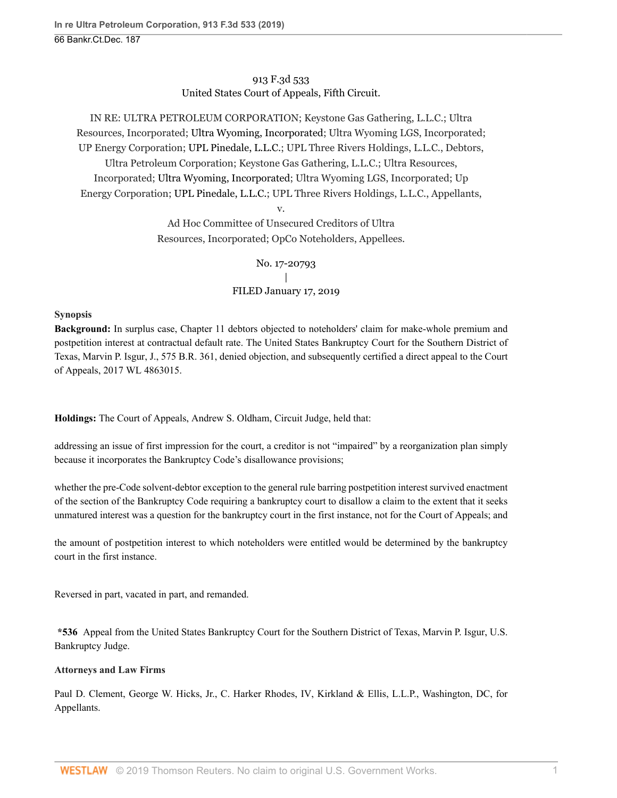913 F.3d 533 United States Court of Appeals, Fifth Circuit.

IN RE: ULTRA PETROLEUM CORPORATION; Keystone Gas Gathering, L.L.C.; Ultra Resources, Incorporated; [Ultra Wyoming, Incorporated;](http://www.westlaw.com/Search/Results.html?query=advanced%3a+OAID(5038074773)&saveJuris=False&contentType=BUSINESS-INVESTIGATOR&startIndex=1&contextData=(sc.Default)&categoryPageUrl=Home%2fCompanyInvestigator&originationContext=document&vr=3.0&rs=cblt1.0&transitionType=DocumentItem) Ultra Wyoming LGS, Incorporated; UP Energy Corporation; [UPL Pinedale, L.L.C.;](http://www.westlaw.com/Search/Results.html?query=advanced%3a+OAID(5051700316)&saveJuris=False&contentType=BUSINESS-INVESTIGATOR&startIndex=1&contextData=(sc.Default)&categoryPageUrl=Home%2fCompanyInvestigator&originationContext=document&vr=3.0&rs=cblt1.0&transitionType=DocumentItem) UPL Three Rivers Holdings, L.L.C., Debtors, Ultra Petroleum Corporation; Keystone Gas Gathering, L.L.C.; Ultra Resources, Incorporated; [Ultra Wyoming, Incorporated;](http://www.westlaw.com/Search/Results.html?query=advanced%3a+OAID(5038074773)&saveJuris=False&contentType=BUSINESS-INVESTIGATOR&startIndex=1&contextData=(sc.Default)&categoryPageUrl=Home%2fCompanyInvestigator&originationContext=document&vr=3.0&rs=cblt1.0&transitionType=DocumentItem) Ultra Wyoming LGS, Incorporated; Up Energy Corporation; [UPL Pinedale, L.L.C.;](http://www.westlaw.com/Search/Results.html?query=advanced%3a+OAID(5051700316)&saveJuris=False&contentType=BUSINESS-INVESTIGATOR&startIndex=1&contextData=(sc.Default)&categoryPageUrl=Home%2fCompanyInvestigator&originationContext=document&vr=3.0&rs=cblt1.0&transitionType=DocumentItem) UPL Three Rivers Holdings, L.L.C., Appellants,

v.

Ad Hoc Committee of Unsecured Creditors of Ultra Resources, Incorporated; OpCo Noteholders, Appellees.

> No. 17-20793 | FILED January 17, 2019

## **Synopsis**

**Background:** In surplus case, Chapter 11 debtors objected to noteholders' claim for make-whole premium and postpetition interest at contractual default rate. The United States Bankruptcy Court for the Southern District of Texas, [Marvin P. Isgur,](http://www.westlaw.com/Link/Document/FullText?findType=h&pubNum=176284&cite=0493741099&originatingDoc=Ie0aabab01a7211e9a1b0e6625e646f8f&refType=RQ&originationContext=document&vr=3.0&rs=cblt1.0&transitionType=DocumentItem&contextData=(sc.UserEnteredCitation)) J., [575 B.R. 361](http://www.westlaw.com/Link/Document/FullText?findType=Y&serNum=2042675072&pubNum=0000164&originatingDoc=Ie0aabab01a7211e9a1b0e6625e646f8f&refType=RP&originationContext=document&vr=3.0&rs=cblt1.0&transitionType=DocumentItem&contextData=(sc.UserEnteredCitation)), denied objection, and subsequently certified a direct appeal to the Court of Appeals, [2017 WL 4863015](http://www.westlaw.com/Link/Document/FullText?findType=Y&serNum=2042976183&pubNum=0000999&originatingDoc=Ie0aabab01a7211e9a1b0e6625e646f8f&refType=RP&originationContext=document&vr=3.0&rs=cblt1.0&transitionType=DocumentItem&contextData=(sc.UserEnteredCitation)).

**Holdings:** The Court of Appeals, [Andrew S. Oldham](http://www.westlaw.com/Link/Document/FullText?findType=h&pubNum=176284&cite=0511095801&originatingDoc=Ie0aabab01a7211e9a1b0e6625e646f8f&refType=RQ&originationContext=document&vr=3.0&rs=cblt1.0&transitionType=DocumentItem&contextData=(sc.UserEnteredCitation)), Circuit Judge, held that:

addressing an issue of first impression for the court, a creditor is not "impaired" by a reorganization plan simply because it incorporates the Bankruptcy Code's disallowance provisions;

whether the pre-Code solvent-debtor exception to the general rule barring postpetition interest survived enactment of the section of the Bankruptcy Code requiring a bankruptcy court to disallow a claim to the extent that it seeks unmatured interest was a question for the bankruptcy court in the first instance, not for the Court of Appeals; and

the amount of postpetition interest to which noteholders were entitled would be determined by the bankruptcy court in the first instance.

Reversed in part, vacated in part, and remanded.

**\*536** Appeal from the United States Bankruptcy Court for the Southern District of Texas, [Marvin P. Isgur](http://www.westlaw.com/Link/Document/FullText?findType=h&pubNum=176284&cite=0189440702&originatingDoc=Ie0aabab01a7211e9a1b0e6625e646f8f&refType=RQ&originationContext=document&vr=3.0&rs=cblt1.0&transitionType=DocumentItem&contextData=(sc.UserEnteredCitation)), U.S. Bankruptcy Judge.

# **Attorneys and Law Firms**

[Paul D. Clement](http://www.westlaw.com/Link/Document/FullText?findType=h&pubNum=176284&cite=0222609101&originatingDoc=Ie0aabab01a7211e9a1b0e6625e646f8f&refType=RQ&originationContext=document&vr=3.0&rs=cblt1.0&transitionType=DocumentItem&contextData=(sc.UserEnteredCitation)), [George W. Hicks, Jr.](http://www.westlaw.com/Link/Document/FullText?findType=h&pubNum=176284&cite=0405451201&originatingDoc=Ie0aabab01a7211e9a1b0e6625e646f8f&refType=RQ&originationContext=document&vr=3.0&rs=cblt1.0&transitionType=DocumentItem&contextData=(sc.UserEnteredCitation)), [C. Harker Rhodes, IV](http://www.westlaw.com/Link/Document/FullText?findType=h&pubNum=176284&cite=0513194301&originatingDoc=Ie0aabab01a7211e9a1b0e6625e646f8f&refType=RQ&originationContext=document&vr=3.0&rs=cblt1.0&transitionType=DocumentItem&contextData=(sc.UserEnteredCitation)), Kirkland & Ellis, L.L.P., Washington, DC, for Appellants.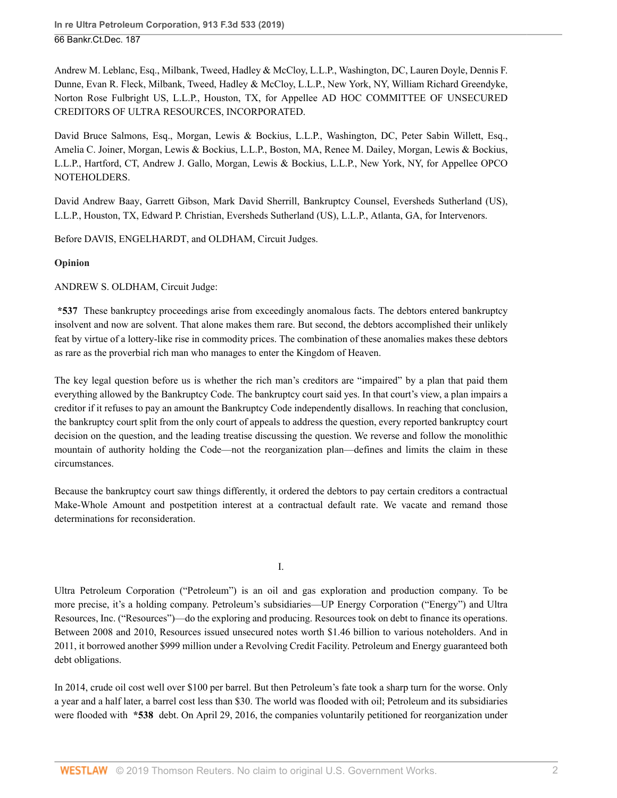[Andrew M. Leblanc,](http://www.westlaw.com/Link/Document/FullText?findType=h&pubNum=176284&cite=0358979601&originatingDoc=Ie0aabab01a7211e9a1b0e6625e646f8f&refType=RQ&originationContext=document&vr=3.0&rs=cblt1.0&transitionType=DocumentItem&contextData=(sc.UserEnteredCitation)) Esq., Milbank, Tweed, Hadley & McCloy, L.L.P., Washington, DC, [Lauren Doyle,](http://www.westlaw.com/Link/Document/FullText?findType=h&pubNum=176284&cite=0469377901&originatingDoc=Ie0aabab01a7211e9a1b0e6625e646f8f&refType=RQ&originationContext=document&vr=3.0&rs=cblt1.0&transitionType=DocumentItem&contextData=(sc.UserEnteredCitation)) [Dennis F.](http://www.westlaw.com/Link/Document/FullText?findType=h&pubNum=176284&cite=0326541001&originatingDoc=Ie0aabab01a7211e9a1b0e6625e646f8f&refType=RQ&originationContext=document&vr=3.0&rs=cblt1.0&transitionType=DocumentItem&contextData=(sc.UserEnteredCitation)) [Dunne,](http://www.westlaw.com/Link/Document/FullText?findType=h&pubNum=176284&cite=0326541001&originatingDoc=Ie0aabab01a7211e9a1b0e6625e646f8f&refType=RQ&originationContext=document&vr=3.0&rs=cblt1.0&transitionType=DocumentItem&contextData=(sc.UserEnteredCitation)) [Evan R. Fleck](http://www.westlaw.com/Link/Document/FullText?findType=h&pubNum=176284&cite=0328509901&originatingDoc=Ie0aabab01a7211e9a1b0e6625e646f8f&refType=RQ&originationContext=document&vr=3.0&rs=cblt1.0&transitionType=DocumentItem&contextData=(sc.UserEnteredCitation)), Milbank, Tweed, Hadley & McCloy, L.L.P., New York, NY, [William Richard Greendyke,](http://www.westlaw.com/Link/Document/FullText?findType=h&pubNum=176284&cite=0354361101&originatingDoc=Ie0aabab01a7211e9a1b0e6625e646f8f&refType=RQ&originationContext=document&vr=3.0&rs=cblt1.0&transitionType=DocumentItem&contextData=(sc.UserEnteredCitation)) Norton Rose Fulbright US, L.L.P., Houston, TX, for Appellee AD HOC COMMITTEE OF UNSECURED CREDITORS OF ULTRA RESOURCES, INCORPORATED.

[David Bruce Salmons,](http://www.westlaw.com/Link/Document/FullText?findType=h&pubNum=176284&cite=0273507101&originatingDoc=Ie0aabab01a7211e9a1b0e6625e646f8f&refType=RQ&originationContext=document&vr=3.0&rs=cblt1.0&transitionType=DocumentItem&contextData=(sc.UserEnteredCitation)) Esq., Morgan, Lewis & Bockius, L.L.P., Washington, DC, [Peter Sabin Willett](http://www.westlaw.com/Link/Document/FullText?findType=h&pubNum=176284&cite=0189633801&originatingDoc=Ie0aabab01a7211e9a1b0e6625e646f8f&refType=RQ&originationContext=document&vr=3.0&rs=cblt1.0&transitionType=DocumentItem&contextData=(sc.UserEnteredCitation)), Esq., [Amelia C. Joiner,](http://www.westlaw.com/Link/Document/FullText?findType=h&pubNum=176284&cite=0438445501&originatingDoc=Ie0aabab01a7211e9a1b0e6625e646f8f&refType=RQ&originationContext=document&vr=3.0&rs=cblt1.0&transitionType=DocumentItem&contextData=(sc.UserEnteredCitation)) Morgan, Lewis & Bockius, L.L.P., Boston, MA, [Renee M. Dailey](http://www.westlaw.com/Link/Document/FullText?findType=h&pubNum=176284&cite=0320958901&originatingDoc=Ie0aabab01a7211e9a1b0e6625e646f8f&refType=RQ&originationContext=document&vr=3.0&rs=cblt1.0&transitionType=DocumentItem&contextData=(sc.UserEnteredCitation)), Morgan, Lewis & Bockius, L.L.P., Hartford, CT, [Andrew J. Gallo](http://www.westlaw.com/Link/Document/FullText?findType=h&pubNum=176284&cite=0320949901&originatingDoc=Ie0aabab01a7211e9a1b0e6625e646f8f&refType=RQ&originationContext=document&vr=3.0&rs=cblt1.0&transitionType=DocumentItem&contextData=(sc.UserEnteredCitation)), Morgan, Lewis & Bockius, L.L.P., New York, NY, for Appellee OPCO NOTEHOLDERS.

[David Andrew Baay](http://www.westlaw.com/Link/Document/FullText?findType=h&pubNum=176284&cite=0260517601&originatingDoc=Ie0aabab01a7211e9a1b0e6625e646f8f&refType=RQ&originationContext=document&vr=3.0&rs=cblt1.0&transitionType=DocumentItem&contextData=(sc.UserEnteredCitation)), [Garrett Gibson](http://www.westlaw.com/Link/Document/FullText?findType=h&pubNum=176284&cite=0501913199&originatingDoc=Ie0aabab01a7211e9a1b0e6625e646f8f&refType=RQ&originationContext=document&vr=3.0&rs=cblt1.0&transitionType=DocumentItem&contextData=(sc.UserEnteredCitation)), [Mark David Sherrill,](http://www.westlaw.com/Link/Document/FullText?findType=h&pubNum=176284&cite=0329639801&originatingDoc=Ie0aabab01a7211e9a1b0e6625e646f8f&refType=RQ&originationContext=document&vr=3.0&rs=cblt1.0&transitionType=DocumentItem&contextData=(sc.UserEnteredCitation)) Bankruptcy Counsel, Eversheds Sutherland (US), L.L.P., Houston, TX, [Edward P. Christian](http://www.westlaw.com/Link/Document/FullText?findType=h&pubNum=176284&cite=0200297001&originatingDoc=Ie0aabab01a7211e9a1b0e6625e646f8f&refType=RQ&originationContext=document&vr=3.0&rs=cblt1.0&transitionType=DocumentItem&contextData=(sc.UserEnteredCitation)), Eversheds Sutherland (US), L.L.P., Atlanta, GA, for Intervenors.

Before [DAVIS,](http://www.westlaw.com/Link/Document/FullText?findType=h&pubNum=176284&cite=0144313201&originatingDoc=Ie0aabab01a7211e9a1b0e6625e646f8f&refType=RQ&originationContext=document&vr=3.0&rs=cblt1.0&transitionType=DocumentItem&contextData=(sc.UserEnteredCitation)) [ENGELHARDT](http://www.westlaw.com/Link/Document/FullText?findType=h&pubNum=176284&cite=0321508101&originatingDoc=Ie0aabab01a7211e9a1b0e6625e646f8f&refType=RQ&originationContext=document&vr=3.0&rs=cblt1.0&transitionType=DocumentItem&contextData=(sc.UserEnteredCitation)), and [OLDHAM,](http://www.westlaw.com/Link/Document/FullText?findType=h&pubNum=176284&cite=0511095801&originatingDoc=Ie0aabab01a7211e9a1b0e6625e646f8f&refType=RQ&originationContext=document&vr=3.0&rs=cblt1.0&transitionType=DocumentItem&contextData=(sc.UserEnteredCitation)) Circuit Judges.

## **Opinion**

[ANDREW S. OLDHAM,](http://www.westlaw.com/Link/Document/FullText?findType=h&pubNum=176284&cite=0511095801&originatingDoc=Ie0aabab01a7211e9a1b0e6625e646f8f&refType=RQ&originationContext=document&vr=3.0&rs=cblt1.0&transitionType=DocumentItem&contextData=(sc.UserEnteredCitation)) Circuit Judge:

**\*537** These bankruptcy proceedings arise from exceedingly anomalous facts. The debtors entered bankruptcy insolvent and now are solvent. That alone makes them rare. But second, the debtors accomplished their unlikely feat by virtue of a lottery-like rise in commodity prices. The combination of these anomalies makes these debtors as rare as the proverbial rich man who manages to enter the Kingdom of Heaven.

The key legal question before us is whether the rich man's creditors are "impaired" by a plan that paid them everything allowed by the Bankruptcy Code. The bankruptcy court said yes. In that court's view, a plan impairs a creditor if it refuses to pay an amount the Bankruptcy Code independently disallows. In reaching that conclusion, the bankruptcy court split from the only court of appeals to address the question, every reported bankruptcy court decision on the question, and the leading treatise discussing the question. We reverse and follow the monolithic mountain of authority holding the Code—not the reorganization plan—defines and limits the claim in these circumstances.

Because the bankruptcy court saw things differently, it ordered the debtors to pay certain creditors a contractual Make-Whole Amount and postpetition interest at a contractual default rate. We vacate and remand those determinations for reconsideration.

I.

Ultra Petroleum Corporation ("Petroleum") is an oil and gas exploration and production company. To be more precise, it's a holding company. Petroleum's subsidiaries—UP Energy Corporation ("Energy") and Ultra Resources, Inc. ("Resources")—do the exploring and producing. Resources took on debt to finance its operations. Between 2008 and 2010, Resources issued unsecured notes worth \$1.46 billion to various noteholders. And in 2011, it borrowed another \$999 million under a Revolving Credit Facility. Petroleum and Energy guaranteed both debt obligations.

In 2014, crude oil cost well over \$100 per barrel. But then Petroleum's fate took a sharp turn for the worse. Only a year and a half later, a barrel cost less than \$30. The world was flooded with oil; Petroleum and its subsidiaries were flooded with **\*538** debt. On April 29, 2016, the companies voluntarily petitioned for reorganization under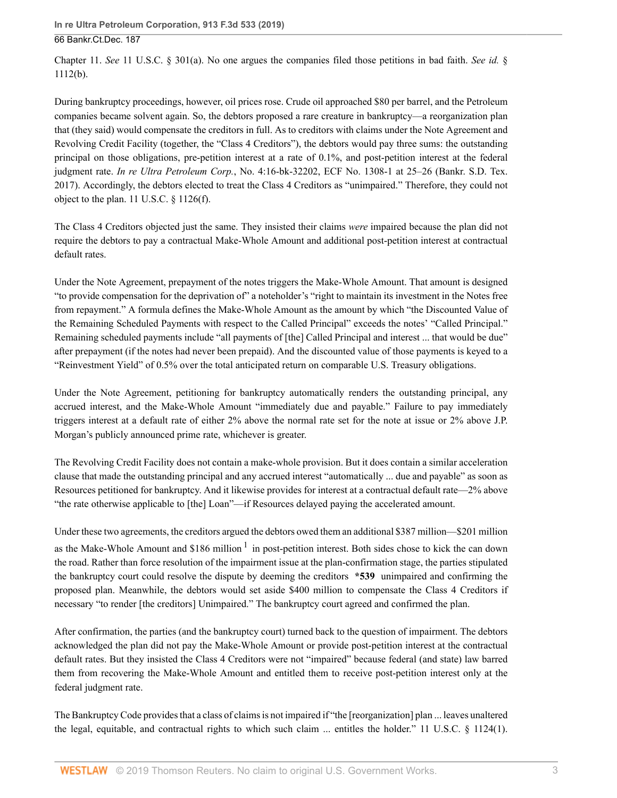Chapter 11. *See* [11 U.S.C. § 301\(a\).](http://www.westlaw.com/Link/Document/FullText?findType=L&pubNum=1000546&cite=11USCAS301&originatingDoc=Ie0aabab01a7211e9a1b0e6625e646f8f&refType=RB&originationContext=document&vr=3.0&rs=cblt1.0&transitionType=DocumentItem&contextData=(sc.UserEnteredCitation)#co_pp_8b3b0000958a4) No one argues the companies filed those petitions in bad faith. *See id.* § 1112(b).

During bankruptcy proceedings, however, oil prices rose. Crude oil approached \$80 per barrel, and the Petroleum companies became solvent again. So, the debtors proposed a rare creature in bankruptcy—a reorganization plan that (they said) would compensate the creditors in full. As to creditors with claims under the Note Agreement and Revolving Credit Facility (together, the "Class 4 Creditors"), the debtors would pay three sums: the outstanding principal on those obligations, pre-petition interest at a rate of 0.1%, and post-petition interest at the federal judgment rate. *In re Ultra Petroleum Corp.*, No. 4:16-bk-32202, ECF No. 1308-1 at 25–26 (Bankr. S.D. Tex. 2017). Accordingly, the debtors elected to treat the Class 4 Creditors as "unimpaired." Therefore, they could not object to the plan. [11 U.S.C. § 1126\(f\).](http://www.westlaw.com/Link/Document/FullText?findType=L&pubNum=1000546&cite=11USCAS1126&originatingDoc=Ie0aabab01a7211e9a1b0e6625e646f8f&refType=RB&originationContext=document&vr=3.0&rs=cblt1.0&transitionType=DocumentItem&contextData=(sc.UserEnteredCitation)#co_pp_ae0d0000c5150)

The Class 4 Creditors objected just the same. They insisted their claims *were* impaired because the plan did not require the debtors to pay a contractual Make-Whole Amount and additional post-petition interest at contractual default rates.

Under the Note Agreement, prepayment of the notes triggers the Make-Whole Amount. That amount is designed "to provide compensation for the deprivation of" a noteholder's "right to maintain its investment in the Notes free from repayment." A formula defines the Make-Whole Amount as the amount by which "the Discounted Value of the Remaining Scheduled Payments with respect to the Called Principal" exceeds the notes' "Called Principal." Remaining scheduled payments include "all payments of [the] Called Principal and interest ... that would be due" after prepayment (if the notes had never been prepaid). And the discounted value of those payments is keyed to a "Reinvestment Yield" of 0.5% over the total anticipated return on comparable U.S. Treasury obligations.

Under the Note Agreement, petitioning for bankruptcy automatically renders the outstanding principal, any accrued interest, and the Make-Whole Amount "immediately due and payable." Failure to pay immediately triggers interest at a default rate of either 2% above the normal rate set for the note at issue or 2% above J.P. Morgan's publicly announced prime rate, whichever is greater.

The Revolving Credit Facility does not contain a make-whole provision. But it does contain a similar acceleration clause that made the outstanding principal and any accrued interest "automatically ... due and payable" as soon as Resources petitioned for bankruptcy. And it likewise provides for interest at a contractual default rate—2% above "the rate otherwise applicable to [the] Loan"—if Resources delayed paying the accelerated amount.

<span id="page-2-0"></span>Under these two agreements, the creditors argued the debtors owed them an additional \$387 million—\$201 million as the Make-Whole Amount and \$[1](#page-13-0)86 million  $1$  in post-petition interest. Both sides chose to kick the can down the road. Rather than force resolution of the impairment issue at the plan-confirmation stage, the parties stipulated the bankruptcy court could resolve the dispute by deeming the creditors **\*539** unimpaired and confirming the proposed plan. Meanwhile, the debtors would set aside \$400 million to compensate the Class 4 Creditors if necessary "to render [the creditors] Unimpaired." The bankruptcy court agreed and confirmed the plan.

After confirmation, the parties (and the bankruptcy court) turned back to the question of impairment. The debtors acknowledged the plan did not pay the Make-Whole Amount or provide post-petition interest at the contractual default rates. But they insisted the Class 4 Creditors were not "impaired" because federal (and state) law barred them from recovering the Make-Whole Amount and entitled them to receive post-petition interest only at the federal judgment rate.

The Bankruptcy Code provides that a class of claims is not impaired if "the [reorganization] plan ... leaves unaltered the legal, equitable, and contractual rights to which such claim ... entitles the holder." [11 U.S.C. § 1124\(1\)](http://www.westlaw.com/Link/Document/FullText?findType=L&pubNum=1000546&cite=11USCAS1124&originatingDoc=Ie0aabab01a7211e9a1b0e6625e646f8f&refType=RB&originationContext=document&vr=3.0&rs=cblt1.0&transitionType=DocumentItem&contextData=(sc.UserEnteredCitation)#co_pp_f1c50000821b0).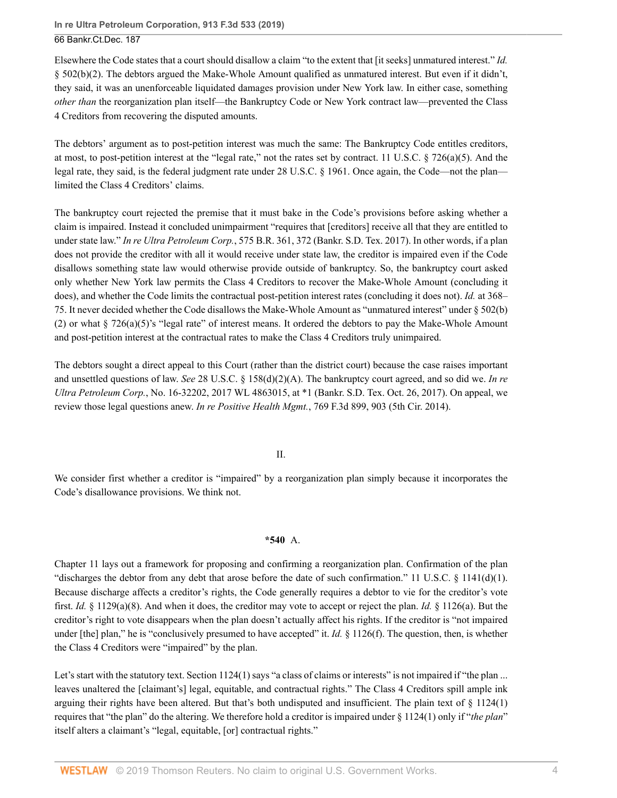Elsewhere the Code states that a court should disallow a claim "to the extent that [it seeks] unmatured interest." *Id.* § 502(b)(2). The debtors argued the Make-Whole Amount qualified as unmatured interest. But even if it didn't, they said, it was an unenforceable liquidated damages provision under New York law. In either case, something *other than* the reorganization plan itself—the Bankruptcy Code or New York contract law—prevented the Class 4 Creditors from recovering the disputed amounts.

The debtors' argument as to post-petition interest was much the same: The Bankruptcy Code entitles creditors, at most, to post-petition interest at the "legal rate," not the rates set by contract. 11 U.S.C.  $\S$  726(a)(5). And the legal rate, they said, is the federal judgment rate under [28 U.S.C. § 1961.](http://www.westlaw.com/Link/Document/FullText?findType=L&pubNum=1000546&cite=28USCAS1961&originatingDoc=Ie0aabab01a7211e9a1b0e6625e646f8f&refType=LQ&originationContext=document&vr=3.0&rs=cblt1.0&transitionType=DocumentItem&contextData=(sc.UserEnteredCitation)) Once again, the Code—not the plan limited the Class 4 Creditors' claims.

The bankruptcy court rejected the premise that it must bake in the Code's provisions before asking whether a claim is impaired. Instead it concluded unimpairment "requires that [creditors] receive all that they are entitled to under state law." *In re Ultra Petroleum Corp.*[, 575 B.R. 361, 372 \(Bankr. S.D. Tex. 2017\).](http://www.westlaw.com/Link/Document/FullText?findType=Y&serNum=2042675072&pubNum=0000164&originatingDoc=Ie0aabab01a7211e9a1b0e6625e646f8f&refType=RP&fi=co_pp_sp_164_372&originationContext=document&vr=3.0&rs=cblt1.0&transitionType=DocumentItem&contextData=(sc.UserEnteredCitation)#co_pp_sp_164_372) In other words, if a plan does not provide the creditor with all it would receive under state law, the creditor is impaired even if the Code disallows something state law would otherwise provide outside of bankruptcy. So, the bankruptcy court asked only whether New York law permits the Class 4 Creditors to recover the Make-Whole Amount (concluding it does), and whether the Code limits the contractual post-petition interest rates (concluding it does not). *Id.* [at 368–](http://www.westlaw.com/Link/Document/FullText?findType=Y&serNum=2042675072&pubNum=0000164&originatingDoc=Ie0aabab01a7211e9a1b0e6625e646f8f&refType=RP&fi=co_pp_sp_164_368&originationContext=document&vr=3.0&rs=cblt1.0&transitionType=DocumentItem&contextData=(sc.UserEnteredCitation)#co_pp_sp_164_368) [75](http://www.westlaw.com/Link/Document/FullText?findType=Y&serNum=2042675072&pubNum=0000164&originatingDoc=Ie0aabab01a7211e9a1b0e6625e646f8f&refType=RP&fi=co_pp_sp_164_368&originationContext=document&vr=3.0&rs=cblt1.0&transitionType=DocumentItem&contextData=(sc.UserEnteredCitation)#co_pp_sp_164_368). It never decided whether the Code disallows the Make-Whole Amount as "unmatured interest" under § 502(b) (2) or what [§ 726\(a\)\(5\)](http://www.westlaw.com/Link/Document/FullText?findType=L&pubNum=1000546&cite=11USCAS726&originatingDoc=Ie0aabab01a7211e9a1b0e6625e646f8f&refType=RB&originationContext=document&vr=3.0&rs=cblt1.0&transitionType=DocumentItem&contextData=(sc.UserEnteredCitation)#co_pp_488b0000d05e2)'s "legal rate" of interest means. It ordered the debtors to pay the Make-Whole Amount and post-petition interest at the contractual rates to make the Class 4 Creditors truly unimpaired.

The debtors sought a direct appeal to this Court (rather than the district court) because the case raises important and unsettled questions of law. *See* [28 U.S.C. § 158\(d\)\(2\)\(A\).](http://www.westlaw.com/Link/Document/FullText?findType=L&pubNum=1000546&cite=28USCAS158&originatingDoc=Ie0aabab01a7211e9a1b0e6625e646f8f&refType=RB&originationContext=document&vr=3.0&rs=cblt1.0&transitionType=DocumentItem&contextData=(sc.UserEnteredCitation)#co_pp_ffce0000bc442) The bankruptcy court agreed, and so did we. *[In re](http://www.westlaw.com/Link/Document/FullText?findType=Y&serNum=2042976183&pubNum=0000999&originatingDoc=Ie0aabab01a7211e9a1b0e6625e646f8f&refType=RP&originationContext=document&vr=3.0&rs=cblt1.0&transitionType=DocumentItem&contextData=(sc.UserEnteredCitation)) Ultra Petroleum Corp.*[, No. 16-32202, 2017 WL 4863015, at \\*1 \(Bankr. S.D. Tex. Oct. 26, 2017\).](http://www.westlaw.com/Link/Document/FullText?findType=Y&serNum=2042976183&pubNum=0000999&originatingDoc=Ie0aabab01a7211e9a1b0e6625e646f8f&refType=RP&originationContext=document&vr=3.0&rs=cblt1.0&transitionType=DocumentItem&contextData=(sc.UserEnteredCitation)) On appeal, we review those legal questions anew. *In re Positive Health Mgmt.*[, 769 F.3d 899, 903 \(5th Cir. 2014\)](http://www.westlaw.com/Link/Document/FullText?findType=Y&serNum=2034632314&pubNum=0000506&originatingDoc=Ie0aabab01a7211e9a1b0e6625e646f8f&refType=RP&fi=co_pp_sp_506_903&originationContext=document&vr=3.0&rs=cblt1.0&transitionType=DocumentItem&contextData=(sc.UserEnteredCitation)#co_pp_sp_506_903).

#### II.

We consider first whether a creditor is "impaired" by a reorganization plan simply because it incorporates the Code's disallowance provisions. We think not.

## **\*540** A.

Chapter 11 lays out a framework for proposing and confirming a reorganization plan. Confirmation of the plan "discharges the debtor from any debt that arose before the date of such confirmation." [11 U.S.C. § 1141\(d\)\(1\).](http://www.westlaw.com/Link/Document/FullText?findType=L&pubNum=1000546&cite=11USCAS1141&originatingDoc=Ie0aabab01a7211e9a1b0e6625e646f8f&refType=RB&originationContext=document&vr=3.0&rs=cblt1.0&transitionType=DocumentItem&contextData=(sc.UserEnteredCitation)#co_pp_e07e0000a9f57) Because discharge affects a creditor's rights, the Code generally requires a debtor to vie for the creditor's vote first. *Id.* § 1129(a)(8). And when it does, the creditor may vote to accept or reject the plan. *Id.* § 1126(a). But the creditor's right to vote disappears when the plan doesn't actually affect his rights. If the creditor is "not impaired under [the] plan," he is "conclusively presumed to have accepted" it. *Id.* § 1126(f). The question, then, is whether the Class 4 Creditors were "impaired" by the plan.

Let's start with the statutory text. [Section 1124\(1\)](http://www.westlaw.com/Link/Document/FullText?findType=L&pubNum=1000546&cite=11USCAS1124&originatingDoc=Ie0aabab01a7211e9a1b0e6625e646f8f&refType=RB&originationContext=document&vr=3.0&rs=cblt1.0&transitionType=DocumentItem&contextData=(sc.UserEnteredCitation)#co_pp_f1c50000821b0) says "a class of claims or interests" is not impaired if "the plan ... leaves unaltered the [claimant's] legal, equitable, and contractual rights." The Class 4 Creditors spill ample ink arguing their rights have been altered. But that's both undisputed and insufficient. The plain text of  $\S$  1124(1) requires that "the plan" do the altering. We therefore hold a creditor is impaired under [§ 1124\(1\)](http://www.westlaw.com/Link/Document/FullText?findType=L&pubNum=1000546&cite=11USCAS1124&originatingDoc=Ie0aabab01a7211e9a1b0e6625e646f8f&refType=RB&originationContext=document&vr=3.0&rs=cblt1.0&transitionType=DocumentItem&contextData=(sc.UserEnteredCitation)#co_pp_f1c50000821b0) only if "*the plan*" itself alters a claimant's "legal, equitable, [or] contractual rights."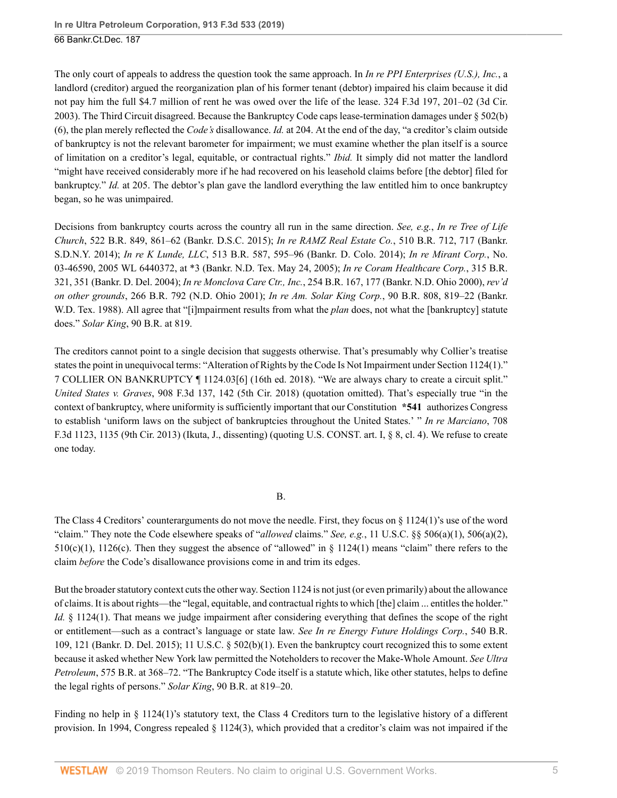The only court of appeals to address the question took the same approach. In *In re PPI Enterprises (U.S.), Inc.*, a landlord (creditor) argued the reorganization plan of his former tenant (debtor) impaired his claim because it did not pay him the full \$4.7 million of rent he was owed over the life of the lease. [324 F.3d 197, 201–02 \(3d Cir.](http://www.westlaw.com/Link/Document/FullText?findType=Y&serNum=2003243978&pubNum=0000506&originatingDoc=Ie0aabab01a7211e9a1b0e6625e646f8f&refType=RP&fi=co_pp_sp_506_201&originationContext=document&vr=3.0&rs=cblt1.0&transitionType=DocumentItem&contextData=(sc.UserEnteredCitation)#co_pp_sp_506_201) [2003\)](http://www.westlaw.com/Link/Document/FullText?findType=Y&serNum=2003243978&pubNum=0000506&originatingDoc=Ie0aabab01a7211e9a1b0e6625e646f8f&refType=RP&fi=co_pp_sp_506_201&originationContext=document&vr=3.0&rs=cblt1.0&transitionType=DocumentItem&contextData=(sc.UserEnteredCitation)#co_pp_sp_506_201). The Third Circuit disagreed. Because the Bankruptcy Code caps lease-termination damages under § 502(b) (6), the plan merely reflected the *Code's* disallowance. *Id.* [at 204.](http://www.westlaw.com/Link/Document/FullText?findType=Y&serNum=2003243978&pubNum=0000506&originatingDoc=Ie0aabab01a7211e9a1b0e6625e646f8f&refType=RP&fi=co_pp_sp_506_204&originationContext=document&vr=3.0&rs=cblt1.0&transitionType=DocumentItem&contextData=(sc.UserEnteredCitation)#co_pp_sp_506_204) At the end of the day, "a creditor's claim outside of bankruptcy is not the relevant barometer for impairment; we must examine whether the plan itself is a source of limitation on a creditor's legal, equitable, or contractual rights." *Ibid.* It simply did not matter the landlord "might have received considerably more if he had recovered on his leasehold claims before [the debtor] filed for bankruptcy." *Id.* [at 205.](http://www.westlaw.com/Link/Document/FullText?findType=Y&serNum=2003243978&pubNum=0000506&originatingDoc=Ie0aabab01a7211e9a1b0e6625e646f8f&refType=RP&fi=co_pp_sp_506_205&originationContext=document&vr=3.0&rs=cblt1.0&transitionType=DocumentItem&contextData=(sc.UserEnteredCitation)#co_pp_sp_506_205) The debtor's plan gave the landlord everything the law entitled him to once bankruptcy began, so he was unimpaired.

Decisions from bankruptcy courts across the country all run in the same direction. *See, e.g.*, *[In re Tree of Life](http://www.westlaw.com/Link/Document/FullText?findType=Y&serNum=2035268985&pubNum=0000164&originatingDoc=Ie0aabab01a7211e9a1b0e6625e646f8f&refType=RP&fi=co_pp_sp_164_861&originationContext=document&vr=3.0&rs=cblt1.0&transitionType=DocumentItem&contextData=(sc.UserEnteredCitation)#co_pp_sp_164_861) Church*[, 522 B.R. 849, 861–62 \(Bankr. D.S.C. 2015\);](http://www.westlaw.com/Link/Document/FullText?findType=Y&serNum=2035268985&pubNum=0000164&originatingDoc=Ie0aabab01a7211e9a1b0e6625e646f8f&refType=RP&fi=co_pp_sp_164_861&originationContext=document&vr=3.0&rs=cblt1.0&transitionType=DocumentItem&contextData=(sc.UserEnteredCitation)#co_pp_sp_164_861) *[In re RAMZ Real Estate Co.](http://www.westlaw.com/Link/Document/FullText?findType=Y&serNum=2033357035&pubNum=0000164&originatingDoc=Ie0aabab01a7211e9a1b0e6625e646f8f&refType=RP&fi=co_pp_sp_164_717&originationContext=document&vr=3.0&rs=cblt1.0&transitionType=DocumentItem&contextData=(sc.UserEnteredCitation)#co_pp_sp_164_717)*, 510 B.R. 712, 717 (Bankr. [S.D.N.Y. 2014\);](http://www.westlaw.com/Link/Document/FullText?findType=Y&serNum=2033357035&pubNum=0000164&originatingDoc=Ie0aabab01a7211e9a1b0e6625e646f8f&refType=RP&fi=co_pp_sp_164_717&originationContext=document&vr=3.0&rs=cblt1.0&transitionType=DocumentItem&contextData=(sc.UserEnteredCitation)#co_pp_sp_164_717) *In re K Lunde, LLC*[, 513 B.R. 587, 595–96 \(Bankr. D. Colo. 2014\);](http://www.westlaw.com/Link/Document/FullText?findType=Y&serNum=2033918968&pubNum=0000164&originatingDoc=Ie0aabab01a7211e9a1b0e6625e646f8f&refType=RP&fi=co_pp_sp_164_595&originationContext=document&vr=3.0&rs=cblt1.0&transitionType=DocumentItem&contextData=(sc.UserEnteredCitation)#co_pp_sp_164_595) *[In re Mirant Corp.](http://www.westlaw.com/Link/Document/FullText?findType=Y&serNum=2021609265&pubNum=0000999&originatingDoc=Ie0aabab01a7211e9a1b0e6625e646f8f&refType=RP&originationContext=document&vr=3.0&rs=cblt1.0&transitionType=DocumentItem&contextData=(sc.UserEnteredCitation))*, No. [03-46590, 2005 WL 6440372, at \\*3 \(Bankr. N.D. Tex. May 24, 2005\)](http://www.westlaw.com/Link/Document/FullText?findType=Y&serNum=2021609265&pubNum=0000999&originatingDoc=Ie0aabab01a7211e9a1b0e6625e646f8f&refType=RP&originationContext=document&vr=3.0&rs=cblt1.0&transitionType=DocumentItem&contextData=(sc.UserEnteredCitation)); *[In re Coram Healthcare Corp.](http://www.westlaw.com/Link/Document/FullText?findType=Y&serNum=2005239811&pubNum=0000164&originatingDoc=Ie0aabab01a7211e9a1b0e6625e646f8f&refType=RP&fi=co_pp_sp_164_351&originationContext=document&vr=3.0&rs=cblt1.0&transitionType=DocumentItem&contextData=(sc.UserEnteredCitation)#co_pp_sp_164_351)*, 315 B.R. [321, 351 \(Bankr. D. Del. 2004\);](http://www.westlaw.com/Link/Document/FullText?findType=Y&serNum=2005239811&pubNum=0000164&originatingDoc=Ie0aabab01a7211e9a1b0e6625e646f8f&refType=RP&fi=co_pp_sp_164_351&originationContext=document&vr=3.0&rs=cblt1.0&transitionType=DocumentItem&contextData=(sc.UserEnteredCitation)#co_pp_sp_164_351) *In re Monclova Care Ctr., Inc.*[, 254 B.R. 167, 177 \(Bankr. N.D. Ohio 2000\),](http://www.westlaw.com/Link/Document/FullText?findType=Y&serNum=2000580645&pubNum=0000164&originatingDoc=Ie0aabab01a7211e9a1b0e6625e646f8f&refType=RP&fi=co_pp_sp_164_177&originationContext=document&vr=3.0&rs=cblt1.0&transitionType=DocumentItem&contextData=(sc.UserEnteredCitation)#co_pp_sp_164_177) *rev'd on other grounds*, [266 B.R. 792 \(N.D. Ohio 2001\);](http://www.westlaw.com/Link/Document/FullText?findType=Y&serNum=2001819341&pubNum=0000164&originatingDoc=Ie0aabab01a7211e9a1b0e6625e646f8f&refType=RP&originationContext=document&vr=3.0&rs=cblt1.0&transitionType=DocumentItem&contextData=(sc.UserEnteredCitation)) *In re Am. Solar King Corp.*[, 90 B.R. 808, 819–22 \(Bankr.](http://www.westlaw.com/Link/Document/FullText?findType=Y&serNum=1988114774&pubNum=0000164&originatingDoc=Ie0aabab01a7211e9a1b0e6625e646f8f&refType=RP&fi=co_pp_sp_164_819&originationContext=document&vr=3.0&rs=cblt1.0&transitionType=DocumentItem&contextData=(sc.UserEnteredCitation)#co_pp_sp_164_819) [W.D. Tex. 1988\)](http://www.westlaw.com/Link/Document/FullText?findType=Y&serNum=1988114774&pubNum=0000164&originatingDoc=Ie0aabab01a7211e9a1b0e6625e646f8f&refType=RP&fi=co_pp_sp_164_819&originationContext=document&vr=3.0&rs=cblt1.0&transitionType=DocumentItem&contextData=(sc.UserEnteredCitation)#co_pp_sp_164_819). All agree that "[i]mpairment results from what the *plan* does, not what the [bankruptcy] statute does." *Solar King*[, 90 B.R. at 819](http://www.westlaw.com/Link/Document/FullText?findType=Y&serNum=1988114774&pubNum=0000164&originatingDoc=Ie0aabab01a7211e9a1b0e6625e646f8f&refType=RP&fi=co_pp_sp_164_819&originationContext=document&vr=3.0&rs=cblt1.0&transitionType=DocumentItem&contextData=(sc.UserEnteredCitation)#co_pp_sp_164_819).

The creditors cannot point to a single decision that suggests otherwise. That's presumably why Collier's treatise states the point in unequivocal terms: "Alteration of Rights by the Code Is Not Impairment under [Section 1124\(1\)](http://www.westlaw.com/Link/Document/FullText?findType=L&pubNum=1000546&cite=11USCAS1124&originatingDoc=Ie0aabab01a7211e9a1b0e6625e646f8f&refType=RB&originationContext=document&vr=3.0&rs=cblt1.0&transitionType=DocumentItem&contextData=(sc.UserEnteredCitation)#co_pp_f1c50000821b0)." 7 COLLIER ON BANKRUPTCY ¶ 1124.03[6] (16th ed. 2018). "We are always chary to create a circuit split." *United States v. Graves*[, 908 F.3d 137, 142 \(5th Cir. 2018\)](http://www.westlaw.com/Link/Document/FullText?findType=Y&serNum=2045949246&pubNum=0000506&originatingDoc=Ie0aabab01a7211e9a1b0e6625e646f8f&refType=RP&fi=co_pp_sp_506_142&originationContext=document&vr=3.0&rs=cblt1.0&transitionType=DocumentItem&contextData=(sc.UserEnteredCitation)#co_pp_sp_506_142) (quotation omitted). That's especially true "in the context of bankruptcy, where uniformity is sufficiently important that our Constitution **\*541** authorizes Congress to establish 'uniform laws on the subject of bankruptcies throughout the United States.' " *[In re Marciano](http://www.westlaw.com/Link/Document/FullText?findType=Y&serNum=2029949169&pubNum=0000506&originatingDoc=Ie0aabab01a7211e9a1b0e6625e646f8f&refType=RP&fi=co_pp_sp_506_1135&originationContext=document&vr=3.0&rs=cblt1.0&transitionType=DocumentItem&contextData=(sc.UserEnteredCitation)#co_pp_sp_506_1135)*, 708 [F.3d 1123, 1135 \(9th Cir. 2013\)](http://www.westlaw.com/Link/Document/FullText?findType=Y&serNum=2029949169&pubNum=0000506&originatingDoc=Ie0aabab01a7211e9a1b0e6625e646f8f&refType=RP&fi=co_pp_sp_506_1135&originationContext=document&vr=3.0&rs=cblt1.0&transitionType=DocumentItem&contextData=(sc.UserEnteredCitation)#co_pp_sp_506_1135) (Ikuta, J., dissenting) (quoting [U.S. CONST. art. I, § 8, cl. 4](http://www.westlaw.com/Link/Document/FullText?findType=L&pubNum=1000583&cite=USCOARTIS8CL4&originatingDoc=Ie0aabab01a7211e9a1b0e6625e646f8f&refType=LQ&originationContext=document&vr=3.0&rs=cblt1.0&transitionType=DocumentItem&contextData=(sc.UserEnteredCitation))). We refuse to create one today.

#### B.

The Class 4 Creditors' counterarguments do not move the needle. First, they focus on [§ 1124\(1\)'](http://www.westlaw.com/Link/Document/FullText?findType=L&pubNum=1000546&cite=11USCAS1124&originatingDoc=Ie0aabab01a7211e9a1b0e6625e646f8f&refType=RB&originationContext=document&vr=3.0&rs=cblt1.0&transitionType=DocumentItem&contextData=(sc.UserEnteredCitation)#co_pp_f1c50000821b0)s use of the word "claim." They note the Code elsewhere speaks of "*allowed* claims." *See, e.g.*, [11 U.S.C. §§ 506\(a\)\(1\),](http://www.westlaw.com/Link/Document/FullText?findType=L&pubNum=1000546&cite=11USCAS506&originatingDoc=Ie0aabab01a7211e9a1b0e6625e646f8f&refType=RB&originationContext=document&vr=3.0&rs=cblt1.0&transitionType=DocumentItem&contextData=(sc.UserEnteredCitation)#co_pp_7b9b000044381) [506\(a\)\(2\)](http://www.westlaw.com/Link/Document/FullText?findType=L&pubNum=1000546&cite=11USCAS506&originatingDoc=Ie0aabab01a7211e9a1b0e6625e646f8f&refType=RB&originationContext=document&vr=3.0&rs=cblt1.0&transitionType=DocumentItem&contextData=(sc.UserEnteredCitation)#co_pp_d86d0000be040),  $510(c)(1)$ ,  $1126(c)$ . Then they suggest the absence of "allowed" in [§ 1124\(1\)](http://www.westlaw.com/Link/Document/FullText?findType=L&pubNum=1000546&cite=11USCAS1124&originatingDoc=Ie0aabab01a7211e9a1b0e6625e646f8f&refType=RB&originationContext=document&vr=3.0&rs=cblt1.0&transitionType=DocumentItem&contextData=(sc.UserEnteredCitation)#co_pp_f1c50000821b0) means "claim" there refers to the claim *before* the Code's disallowance provisions come in and trim its edges.

But the broader statutory context cuts the other way. [Section 1124](http://www.westlaw.com/Link/Document/FullText?findType=L&pubNum=1000546&cite=11USCAS1124&originatingDoc=Ie0aabab01a7211e9a1b0e6625e646f8f&refType=LQ&originationContext=document&vr=3.0&rs=cblt1.0&transitionType=DocumentItem&contextData=(sc.UserEnteredCitation)) is not just (or even primarily) about the allowance of claims. It is about rights—the "legal, equitable, and contractual rights to which [the] claim ... entitles the holder." *Id.* § 1124(1). That means we judge impairment after considering everything that defines the scope of the right or entitlement—such as a contract's language or state law. *See [In re Energy Future Holdings Corp.](http://www.westlaw.com/Link/Document/FullText?findType=Y&serNum=2037505751&pubNum=0000164&originatingDoc=Ie0aabab01a7211e9a1b0e6625e646f8f&refType=RP&fi=co_pp_sp_164_121&originationContext=document&vr=3.0&rs=cblt1.0&transitionType=DocumentItem&contextData=(sc.UserEnteredCitation)#co_pp_sp_164_121)*, 540 B.R. [109, 121 \(Bankr. D. Del. 2015\)](http://www.westlaw.com/Link/Document/FullText?findType=Y&serNum=2037505751&pubNum=0000164&originatingDoc=Ie0aabab01a7211e9a1b0e6625e646f8f&refType=RP&fi=co_pp_sp_164_121&originationContext=document&vr=3.0&rs=cblt1.0&transitionType=DocumentItem&contextData=(sc.UserEnteredCitation)#co_pp_sp_164_121); [11 U.S.C. § 502\(b\)\(1\)](http://www.westlaw.com/Link/Document/FullText?findType=L&pubNum=1000546&cite=11USCAS502&originatingDoc=Ie0aabab01a7211e9a1b0e6625e646f8f&refType=RB&originationContext=document&vr=3.0&rs=cblt1.0&transitionType=DocumentItem&contextData=(sc.UserEnteredCitation)#co_pp_3fed000053a85). Even the bankruptcy court recognized this to some extent because it asked whether New York law permitted the Noteholders to recover the Make-Whole Amount. *See [Ultra](http://www.westlaw.com/Link/Document/FullText?findType=Y&serNum=2042675072&pubNum=0000164&originatingDoc=Ie0aabab01a7211e9a1b0e6625e646f8f&refType=RP&fi=co_pp_sp_164_368&originationContext=document&vr=3.0&rs=cblt1.0&transitionType=DocumentItem&contextData=(sc.UserEnteredCitation)#co_pp_sp_164_368) Petroleum*[, 575 B.R. at 368–72](http://www.westlaw.com/Link/Document/FullText?findType=Y&serNum=2042675072&pubNum=0000164&originatingDoc=Ie0aabab01a7211e9a1b0e6625e646f8f&refType=RP&fi=co_pp_sp_164_368&originationContext=document&vr=3.0&rs=cblt1.0&transitionType=DocumentItem&contextData=(sc.UserEnteredCitation)#co_pp_sp_164_368). "The Bankruptcy Code itself is a statute which, like other statutes, helps to define the legal rights of persons." *Solar King*[, 90 B.R. at 819–20](http://www.westlaw.com/Link/Document/FullText?findType=Y&serNum=1988114774&pubNum=0000164&originatingDoc=Ie0aabab01a7211e9a1b0e6625e646f8f&refType=RP&fi=co_pp_sp_164_819&originationContext=document&vr=3.0&rs=cblt1.0&transitionType=DocumentItem&contextData=(sc.UserEnteredCitation)#co_pp_sp_164_819).

Finding no help in [§ 1124\(1\)](http://www.westlaw.com/Link/Document/FullText?findType=L&pubNum=1000546&cite=11USCAS1124&originatingDoc=Ie0aabab01a7211e9a1b0e6625e646f8f&refType=RB&originationContext=document&vr=3.0&rs=cblt1.0&transitionType=DocumentItem&contextData=(sc.UserEnteredCitation)#co_pp_f1c50000821b0)'s statutory text, the Class 4 Creditors turn to the legislative history of a different provision. In 1994, Congress repealed  $\S$  1124(3), which provided that a creditor's claim was not impaired if the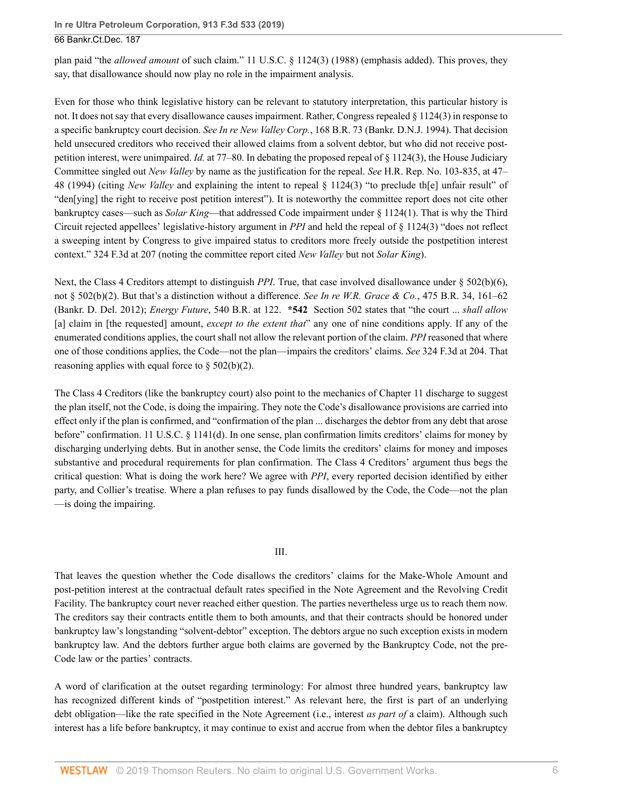plan paid "the *allowed amount* of such claim." [11 U.S.C. § 1124\(3\) \(1988\)](http://www.westlaw.com/Link/Document/FullText?findType=L&pubNum=1000546&cite=11USCAS1124&originatingDoc=Ie0aabab01a7211e9a1b0e6625e646f8f&refType=LQ&originationContext=document&vr=3.0&rs=cblt1.0&transitionType=DocumentItem&contextData=(sc.UserEnteredCitation)) (emphasis added). This proves, they say, that disallowance should now play no role in the impairment analysis.

Even for those who think legislative history can be relevant to statutory interpretation, this particular history is not. It does not say that every disallowance causes impairment. Rather, Congress repealed [§ 1124\(3\)](http://www.westlaw.com/Link/Document/FullText?findType=L&pubNum=1000546&cite=11USCAS1124&originatingDoc=Ie0aabab01a7211e9a1b0e6625e646f8f&refType=LQ&originationContext=document&vr=3.0&rs=cblt1.0&transitionType=DocumentItem&contextData=(sc.UserEnteredCitation)) in response to a specific bankruptcy court decision. *See In re New Valley Corp.*[, 168 B.R. 73 \(Bankr. D.N.J. 1994\).](http://www.westlaw.com/Link/Document/FullText?findType=Y&serNum=1994110922&pubNum=0000164&originatingDoc=Ie0aabab01a7211e9a1b0e6625e646f8f&refType=RP&originationContext=document&vr=3.0&rs=cblt1.0&transitionType=DocumentItem&contextData=(sc.UserEnteredCitation)) That decision held unsecured creditors who received their allowed claims from a solvent debtor, but who did not receive postpetition interest, were unimpaired. *Id.* [at 77–80.](http://www.westlaw.com/Link/Document/FullText?findType=Y&serNum=1994110922&pubNum=0000164&originatingDoc=Ie0aabab01a7211e9a1b0e6625e646f8f&refType=RP&fi=co_pp_sp_164_77&originationContext=document&vr=3.0&rs=cblt1.0&transitionType=DocumentItem&contextData=(sc.UserEnteredCitation)#co_pp_sp_164_77) In debating the proposed repeal of [§ 1124\(3\),](http://www.westlaw.com/Link/Document/FullText?findType=L&pubNum=1000546&cite=11USCAS1124&originatingDoc=Ie0aabab01a7211e9a1b0e6625e646f8f&refType=LQ&originationContext=document&vr=3.0&rs=cblt1.0&transitionType=DocumentItem&contextData=(sc.UserEnteredCitation)) the House Judiciary Committee singled out *New Valley* by name as the justification for the repeal. *See* [H.R. Rep. No. 103-835, at 47–](http://www.westlaw.com/Link/Document/FullText?findType=Y&serNum=0104671320&pubNum=0100014&originatingDoc=Ie0aabab01a7211e9a1b0e6625e646f8f&refType=TV&originationContext=document&vr=3.0&rs=cblt1.0&transitionType=DocumentItem&contextData=(sc.UserEnteredCitation)) [48](http://www.westlaw.com/Link/Document/FullText?findType=Y&serNum=0104671320&pubNum=0100014&originatingDoc=Ie0aabab01a7211e9a1b0e6625e646f8f&refType=TV&originationContext=document&vr=3.0&rs=cblt1.0&transitionType=DocumentItem&contextData=(sc.UserEnteredCitation)) (1994) (citing *New Valley* and explaining the intent to repeal [§ 1124\(3\)](http://www.westlaw.com/Link/Document/FullText?findType=L&pubNum=1000546&cite=11USCAS1124&originatingDoc=Ie0aabab01a7211e9a1b0e6625e646f8f&refType=LQ&originationContext=document&vr=3.0&rs=cblt1.0&transitionType=DocumentItem&contextData=(sc.UserEnteredCitation)) "to preclude th[e] unfair result" of "den[ying] the right to receive post petition interest"). It is noteworthy the committee report does not cite other bankruptcy cases—such as *Solar King*—that addressed Code impairment under [§ 1124\(1\).](http://www.westlaw.com/Link/Document/FullText?findType=L&pubNum=1000546&cite=11USCAS1124&originatingDoc=Ie0aabab01a7211e9a1b0e6625e646f8f&refType=RB&originationContext=document&vr=3.0&rs=cblt1.0&transitionType=DocumentItem&contextData=(sc.UserEnteredCitation)#co_pp_f1c50000821b0) That is why the Third Circuit rejected appellees' legislative-history argument in *PPI* and held the repeal of [§ 1124\(3\)](http://www.westlaw.com/Link/Document/FullText?findType=L&pubNum=1000546&cite=11USCAS1124&originatingDoc=Ie0aabab01a7211e9a1b0e6625e646f8f&refType=LQ&originationContext=document&vr=3.0&rs=cblt1.0&transitionType=DocumentItem&contextData=(sc.UserEnteredCitation)) "does not reflect a sweeping intent by Congress to give impaired status to creditors more freely outside the postpetition interest context." [324 F.3d at 207](http://www.westlaw.com/Link/Document/FullText?findType=Y&serNum=2003243978&pubNum=0000506&originatingDoc=Ie0aabab01a7211e9a1b0e6625e646f8f&refType=RP&fi=co_pp_sp_506_207&originationContext=document&vr=3.0&rs=cblt1.0&transitionType=DocumentItem&contextData=(sc.UserEnteredCitation)#co_pp_sp_506_207) (noting the committee report cited *New Valley* but not *Solar King*).

Next, the Class 4 Creditors attempt to distinguish *PPI*. True, that case involved disallowance under [§ 502\(b\)\(6\)](http://www.westlaw.com/Link/Document/FullText?findType=L&pubNum=1000546&cite=11USCAS502&originatingDoc=Ie0aabab01a7211e9a1b0e6625e646f8f&refType=RB&originationContext=document&vr=3.0&rs=cblt1.0&transitionType=DocumentItem&contextData=(sc.UserEnteredCitation)#co_pp_61d20000b6d76), not [§ 502\(b\)\(2\).](http://www.westlaw.com/Link/Document/FullText?findType=L&pubNum=1000546&cite=11USCAS502&originatingDoc=Ie0aabab01a7211e9a1b0e6625e646f8f&refType=RB&originationContext=document&vr=3.0&rs=cblt1.0&transitionType=DocumentItem&contextData=(sc.UserEnteredCitation)#co_pp_c0ae00006c482) But that's a distinction without a difference. *See [In re W.R. Grace & Co.](http://www.westlaw.com/Link/Document/FullText?findType=Y&serNum=2027893900&pubNum=0000164&originatingDoc=Ie0aabab01a7211e9a1b0e6625e646f8f&refType=RP&fi=co_pp_sp_164_161&originationContext=document&vr=3.0&rs=cblt1.0&transitionType=DocumentItem&contextData=(sc.UserEnteredCitation)#co_pp_sp_164_161)*, 475 B.R. 34, 161–62 [\(Bankr. D. Del. 2012\);](http://www.westlaw.com/Link/Document/FullText?findType=Y&serNum=2027893900&pubNum=0000164&originatingDoc=Ie0aabab01a7211e9a1b0e6625e646f8f&refType=RP&fi=co_pp_sp_164_161&originationContext=document&vr=3.0&rs=cblt1.0&transitionType=DocumentItem&contextData=(sc.UserEnteredCitation)#co_pp_sp_164_161) *Energy Future*[, 540 B.R. at 122.](http://www.westlaw.com/Link/Document/FullText?findType=Y&serNum=2037505751&pubNum=0000164&originatingDoc=Ie0aabab01a7211e9a1b0e6625e646f8f&refType=RP&fi=co_pp_sp_164_122&originationContext=document&vr=3.0&rs=cblt1.0&transitionType=DocumentItem&contextData=(sc.UserEnteredCitation)#co_pp_sp_164_122) **\*542** [Section 502](http://www.westlaw.com/Link/Document/FullText?findType=L&pubNum=1000546&cite=11USCAS502&originatingDoc=Ie0aabab01a7211e9a1b0e6625e646f8f&refType=LQ&originationContext=document&vr=3.0&rs=cblt1.0&transitionType=DocumentItem&contextData=(sc.UserEnteredCitation)) states that "the court ... *shall allow* [a] claim in [the requested] amount, *except to the extent that*" any one of nine conditions apply. If any of the enumerated conditions applies, the court shall not allow the relevant portion of the claim. *PPI* reasoned that where one of those conditions applies, the Code—not the plan—impairs the creditors' claims. *See* [324 F.3d at 204.](http://www.westlaw.com/Link/Document/FullText?findType=Y&serNum=2003243978&pubNum=0000506&originatingDoc=Ie0aabab01a7211e9a1b0e6625e646f8f&refType=RP&fi=co_pp_sp_506_204&originationContext=document&vr=3.0&rs=cblt1.0&transitionType=DocumentItem&contextData=(sc.UserEnteredCitation)#co_pp_sp_506_204) That reasoning applies with equal force to  $\S$  502(b)(2).

The Class 4 Creditors (like the bankruptcy court) also point to the mechanics of Chapter 11 discharge to suggest the plan itself, not the Code, is doing the impairing. They note the Code's disallowance provisions are carried into effect only if the plan is confirmed, and "confirmation of the plan ... discharges the debtor from any debt that arose before" confirmation. [11 U.S.C. § 1141\(d\)](http://www.westlaw.com/Link/Document/FullText?findType=L&pubNum=1000546&cite=11USCAS1141&originatingDoc=Ie0aabab01a7211e9a1b0e6625e646f8f&refType=RB&originationContext=document&vr=3.0&rs=cblt1.0&transitionType=DocumentItem&contextData=(sc.UserEnteredCitation)#co_pp_5ba1000067d06). In one sense, plan confirmation limits creditors' claims for money by discharging underlying debts. But in another sense, the Code limits the creditors' claims for money and imposes substantive and procedural requirements for plan confirmation. The Class 4 Creditors' argument thus begs the critical question: What is doing the work here? We agree with *PPI*, every reported decision identified by either party, and Collier's treatise. Where a plan refuses to pay funds disallowed by the Code, the Code—not the plan —is doing the impairing.

#### III.

That leaves the question whether the Code disallows the creditors' claims for the Make-Whole Amount and post-petition interest at the contractual default rates specified in the Note Agreement and the Revolving Credit Facility. The bankruptcy court never reached either question. The parties nevertheless urge us to reach them now. The creditors say their contracts entitle them to both amounts, and that their contracts should be honored under bankruptcy law's longstanding "solvent-debtor" exception. The debtors argue no such exception exists in modern bankruptcy law. And the debtors further argue both claims are governed by the Bankruptcy Code, not the pre-Code law or the parties' contracts.

A word of clarification at the outset regarding terminology: For almost three hundred years, bankruptcy law has recognized different kinds of "postpetition interest." As relevant here, the first is part of an underlying debt obligation—like the rate specified in the Note Agreement (i.e., interest *as part of* a claim). Although such interest has a life before bankruptcy, it may continue to exist and accrue from when the debtor files a bankruptcy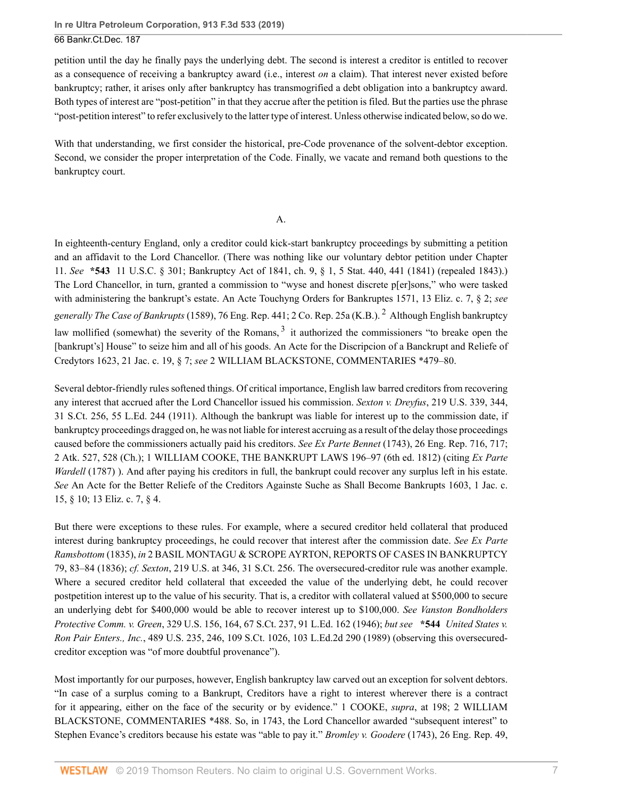petition until the day he finally pays the underlying debt. The second is interest a creditor is entitled to recover as a consequence of receiving a bankruptcy award (i.e., interest *on* a claim). That interest never existed before bankruptcy; rather, it arises only after bankruptcy has transmogrified a debt obligation into a bankruptcy award. Both types of interest are "post-petition" in that they accrue after the petition is filed. But the parties use the phrase "post-petition interest" to refer exclusively to the latter type of interest. Unless otherwise indicated below, so do we.

With that understanding, we first consider the historical, pre-Code provenance of the solvent-debtor exception. Second, we consider the proper interpretation of the Code. Finally, we vacate and remand both questions to the bankruptcy court.

#### <span id="page-6-1"></span><span id="page-6-0"></span>A.

In eighteenth-century England, only a creditor could kick-start bankruptcy proceedings by submitting a petition and an affidavit to the Lord Chancellor. (There was nothing like our voluntary debtor petition under Chapter 11. *See* **\*543** [11 U.S.C. § 301;](http://www.westlaw.com/Link/Document/FullText?findType=L&pubNum=1000546&cite=11USCAS301&originatingDoc=Ie0aabab01a7211e9a1b0e6625e646f8f&refType=LQ&originationContext=document&vr=3.0&rs=cblt1.0&transitionType=DocumentItem&contextData=(sc.UserEnteredCitation)) Bankruptcy Act of 1841, ch. 9, § 1, 5 Stat. 440, 441 (1841) (repealed 1843).) The Lord Chancellor, in turn, granted a commission to "wyse and honest discrete p[er]sons," who were tasked with administering the bankrupt's estate. An Acte Touchyng Orders for Bankruptes 1571, 13 Eliz. c. 7, § 2; *see generally The Case of Bankrupts* (1589), 76 Eng. Rep. 441; 2 Co. Rep. 25a (K.B.). [2](#page-13-1) Although English bankruptcy law mollified (somewhat) the severity of the Romans, <sup>[3](#page-13-2)</sup> it authorized the commissioners "to breake open the [bankrupt's] House" to seize him and all of his goods. An Acte for the Discripcion of a Banckrupt and Reliefe of Credytors 1623, 21 Jac. c. 19, § 7; *see* 2 WILLIAM BLACKSTONE, COMMENTARIES \*479–80.

Several debtor-friendly rules softened things. Of critical importance, English law barred creditors from recovering any interest that accrued after the Lord Chancellor issued his commission. *Sexton v. Dreyfus*[, 219 U.S. 339, 344,](http://www.westlaw.com/Link/Document/FullText?findType=Y&serNum=1911103451&pubNum=0000780&originatingDoc=Ie0aabab01a7211e9a1b0e6625e646f8f&refType=RP&fi=co_pp_sp_780_344&originationContext=document&vr=3.0&rs=cblt1.0&transitionType=DocumentItem&contextData=(sc.UserEnteredCitation)#co_pp_sp_780_344) [31 S.Ct. 256, 55 L.Ed. 244 \(1911\).](http://www.westlaw.com/Link/Document/FullText?findType=Y&serNum=1911103451&pubNum=0000780&originatingDoc=Ie0aabab01a7211e9a1b0e6625e646f8f&refType=RP&fi=co_pp_sp_780_344&originationContext=document&vr=3.0&rs=cblt1.0&transitionType=DocumentItem&contextData=(sc.UserEnteredCitation)#co_pp_sp_780_344) Although the bankrupt was liable for interest up to the commission date, if bankruptcy proceedings dragged on, he was not liable for interest accruing as a result of the delay those proceedings caused before the commissioners actually paid his creditors. *See Ex Parte Bennet* (1743), 26 Eng. Rep. 716, 717; 2 Atk. 527, 528 (Ch.); 1 WILLIAM COOKE, THE BANKRUPT LAWS 196–97 (6th ed. 1812) (citing *Ex Parte Wardell* (1787) ). And after paying his creditors in full, the bankrupt could recover any surplus left in his estate. *See* An Acte for the Better Reliefe of the Creditors Againste Suche as Shall Become Bankrupts 1603, 1 Jac. c. 15, § 10; 13 Eliz. c. 7, § 4.

But there were exceptions to these rules. For example, where a secured creditor held collateral that produced interest during bankruptcy proceedings, he could recover that interest after the commission date. *See Ex Parte Ramsbottom* (1835), *in* 2 BASIL MONTAGU & SCROPE AYRTON, REPORTS OF CASES IN BANKRUPTCY 79, 83–84 (1836); *cf. Sexton*[, 219 U.S. at 346, 31 S.Ct. 256.](http://www.westlaw.com/Link/Document/FullText?findType=Y&serNum=1911103451&pubNum=0000780&originatingDoc=Ie0aabab01a7211e9a1b0e6625e646f8f&refType=RP&fi=co_pp_sp_780_346&originationContext=document&vr=3.0&rs=cblt1.0&transitionType=DocumentItem&contextData=(sc.UserEnteredCitation)#co_pp_sp_780_346) The oversecured-creditor rule was another example. Where a secured creditor held collateral that exceeded the value of the underlying debt, he could recover postpetition interest up to the value of his security. That is, a creditor with collateral valued at \$500,000 to secure an underlying debt for \$400,000 would be able to recover interest up to \$100,000. *See [Vanston Bondholders](http://www.westlaw.com/Link/Document/FullText?findType=Y&serNum=1946116222&pubNum=0000780&originatingDoc=Ie0aabab01a7211e9a1b0e6625e646f8f&refType=RP&fi=co_pp_sp_780_164&originationContext=document&vr=3.0&rs=cblt1.0&transitionType=DocumentItem&contextData=(sc.UserEnteredCitation)#co_pp_sp_780_164) Protective Comm. v. Green*[, 329 U.S. 156, 164, 67 S.Ct. 237, 91 L.Ed. 162 \(1946\);](http://www.westlaw.com/Link/Document/FullText?findType=Y&serNum=1946116222&pubNum=0000780&originatingDoc=Ie0aabab01a7211e9a1b0e6625e646f8f&refType=RP&fi=co_pp_sp_780_164&originationContext=document&vr=3.0&rs=cblt1.0&transitionType=DocumentItem&contextData=(sc.UserEnteredCitation)#co_pp_sp_780_164) *but see* **\*544** *[United States v.](http://www.westlaw.com/Link/Document/FullText?findType=Y&serNum=1989027116&pubNum=0000780&originatingDoc=Ie0aabab01a7211e9a1b0e6625e646f8f&refType=RP&fi=co_pp_sp_780_246&originationContext=document&vr=3.0&rs=cblt1.0&transitionType=DocumentItem&contextData=(sc.UserEnteredCitation)#co_pp_sp_780_246) Ron Pair Enters., Inc.*[, 489 U.S. 235, 246, 109 S.Ct. 1026, 103 L.Ed.2d 290 \(1989\)](http://www.westlaw.com/Link/Document/FullText?findType=Y&serNum=1989027116&pubNum=0000780&originatingDoc=Ie0aabab01a7211e9a1b0e6625e646f8f&refType=RP&fi=co_pp_sp_780_246&originationContext=document&vr=3.0&rs=cblt1.0&transitionType=DocumentItem&contextData=(sc.UserEnteredCitation)#co_pp_sp_780_246) (observing this oversecuredcreditor exception was "of more doubtful provenance").

Most importantly for our purposes, however, English bankruptcy law carved out an exception for solvent debtors. "In case of a surplus coming to a Bankrupt, Creditors have a right to interest wherever there is a contract for it appearing, either on the face of the security or by evidence." 1 COOKE, *supra*, at 198; 2 WILLIAM BLACKSTONE, COMMENTARIES \*488. So, in 1743, the Lord Chancellor awarded "subsequent interest" to Stephen Evance's creditors because his estate was "able to pay it." *Bromley v. Goodere* (1743), 26 Eng. Rep. 49,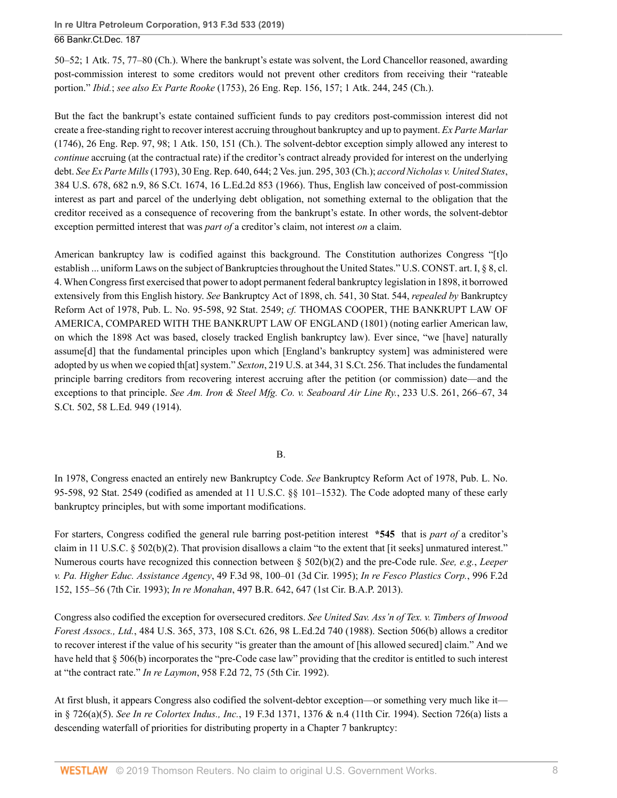50–52; 1 Atk. 75, 77–80 (Ch.). Where the bankrupt's estate was solvent, the Lord Chancellor reasoned, awarding post-commission interest to some creditors would not prevent other creditors from receiving their "rateable portion." *Ibid.*; *see also Ex Parte Rooke* (1753), 26 Eng. Rep. 156, 157; 1 Atk. 244, 245 (Ch.).

But the fact the bankrupt's estate contained sufficient funds to pay creditors post-commission interest did not create a free-standing right to recover interest accruing throughout bankruptcy and up to payment. *Ex Parte Marlar* (1746), 26 Eng. Rep. 97, 98; 1 Atk. 150, 151 (Ch.). The solvent-debtor exception simply allowed any interest to *continue* accruing (at the contractual rate) if the creditor's contract already provided for interest on the underlying debt. *See Ex Parte Mills* (1793), 30 Eng. Rep. 640, 644; 2 Ves. jun. 295, 303 (Ch.); *accord [Nicholas v. United States](http://www.westlaw.com/Link/Document/FullText?findType=Y&serNum=1966131585&pubNum=0000780&originatingDoc=Ie0aabab01a7211e9a1b0e6625e646f8f&refType=RP&fi=co_pp_sp_780_682&originationContext=document&vr=3.0&rs=cblt1.0&transitionType=DocumentItem&contextData=(sc.UserEnteredCitation)#co_pp_sp_780_682)*, [384 U.S. 678, 682 n.9, 86 S.Ct. 1674, 16 L.Ed.2d 853 \(1966\).](http://www.westlaw.com/Link/Document/FullText?findType=Y&serNum=1966131585&pubNum=0000780&originatingDoc=Ie0aabab01a7211e9a1b0e6625e646f8f&refType=RP&fi=co_pp_sp_780_682&originationContext=document&vr=3.0&rs=cblt1.0&transitionType=DocumentItem&contextData=(sc.UserEnteredCitation)#co_pp_sp_780_682) Thus, English law conceived of post-commission interest as part and parcel of the underlying debt obligation, not something external to the obligation that the creditor received as a consequence of recovering from the bankrupt's estate. In other words, the solvent-debtor exception permitted interest that was *part of* a creditor's claim, not interest *on* a claim.

American bankruptcy law is codified against this background. The Constitution authorizes Congress "[t]o establish ... uniform Laws on the subject of Bankruptcies throughout the United States." [U.S. CONST. art. I, § 8, cl.](http://www.westlaw.com/Link/Document/FullText?findType=L&pubNum=1000583&cite=USCOARTIS8CL4&originatingDoc=Ie0aabab01a7211e9a1b0e6625e646f8f&refType=LQ&originationContext=document&vr=3.0&rs=cblt1.0&transitionType=DocumentItem&contextData=(sc.UserEnteredCitation)) [4](http://www.westlaw.com/Link/Document/FullText?findType=L&pubNum=1000583&cite=USCOARTIS8CL4&originatingDoc=Ie0aabab01a7211e9a1b0e6625e646f8f&refType=LQ&originationContext=document&vr=3.0&rs=cblt1.0&transitionType=DocumentItem&contextData=(sc.UserEnteredCitation)). When Congress first exercised that power to adopt permanent federal bankruptcy legislation in 1898, it borrowed extensively from this English history. *See* Bankruptcy Act of 1898, ch. 541, 30 Stat. 544, *repealed by* Bankruptcy Reform Act of 1978, [Pub. L. No. 95-598, 92 Stat. 2549](http://www.westlaw.com/Link/Document/FullText?findType=l&pubNum=1077005&cite=UUID(I71DDF349F4-37451FB502A-F9883A97ED5)&originatingDoc=Ie0aabab01a7211e9a1b0e6625e646f8f&refType=SL&originationContext=document&vr=3.0&rs=cblt1.0&transitionType=DocumentItem&contextData=(sc.UserEnteredCitation)); *cf.* THOMAS COOPER, THE BANKRUPT LAW OF AMERICA, COMPARED WITH THE BANKRUPT LAW OF ENGLAND (1801) (noting earlier American law, on which the 1898 Act was based, closely tracked English bankruptcy law). Ever since, "we [have] naturally assume[d] that the fundamental principles upon which [England's bankruptcy system] was administered were adopted by us when we copied th[at] system." *Sexton*[, 219 U.S. at 344, 31 S.Ct. 256](http://www.westlaw.com/Link/Document/FullText?findType=Y&serNum=1911103451&pubNum=0000780&originatingDoc=Ie0aabab01a7211e9a1b0e6625e646f8f&refType=RP&fi=co_pp_sp_780_344&originationContext=document&vr=3.0&rs=cblt1.0&transitionType=DocumentItem&contextData=(sc.UserEnteredCitation)#co_pp_sp_780_344). That includes the fundamental principle barring creditors from recovering interest accruing after the petition (or commission) date—and the exceptions to that principle. *See [Am. Iron & Steel Mfg. Co. v. Seaboard Air Line Ry.](http://www.westlaw.com/Link/Document/FullText?findType=Y&serNum=1914100460&pubNum=0000780&originatingDoc=Ie0aabab01a7211e9a1b0e6625e646f8f&refType=RP&fi=co_pp_sp_780_266&originationContext=document&vr=3.0&rs=cblt1.0&transitionType=DocumentItem&contextData=(sc.UserEnteredCitation)#co_pp_sp_780_266)*, 233 U.S. 261, 266–67, 34 [S.Ct. 502, 58 L.Ed. 949 \(1914\).](http://www.westlaw.com/Link/Document/FullText?findType=Y&serNum=1914100460&pubNum=0000780&originatingDoc=Ie0aabab01a7211e9a1b0e6625e646f8f&refType=RP&fi=co_pp_sp_780_266&originationContext=document&vr=3.0&rs=cblt1.0&transitionType=DocumentItem&contextData=(sc.UserEnteredCitation)#co_pp_sp_780_266)

## B.

In 1978, Congress enacted an entirely new Bankruptcy Code. *See* Bankruptcy Reform Act of 1978, [Pub. L. No.](http://www.westlaw.com/Link/Document/FullText?findType=l&pubNum=1077005&cite=UUID(I71DDF349F4-37451FB502A-F9883A97ED5)&originatingDoc=Ie0aabab01a7211e9a1b0e6625e646f8f&refType=SL&originationContext=document&vr=3.0&rs=cblt1.0&transitionType=DocumentItem&contextData=(sc.UserEnteredCitation)) [95-598, 92 Stat. 2549](http://www.westlaw.com/Link/Document/FullText?findType=l&pubNum=1077005&cite=UUID(I71DDF349F4-37451FB502A-F9883A97ED5)&originatingDoc=Ie0aabab01a7211e9a1b0e6625e646f8f&refType=SL&originationContext=document&vr=3.0&rs=cblt1.0&transitionType=DocumentItem&contextData=(sc.UserEnteredCitation)) (codified as amended at [11 U.S.C. §§ 101–](http://www.westlaw.com/Link/Document/FullText?findType=L&pubNum=1000546&cite=11USCAS101&originatingDoc=Ie0aabab01a7211e9a1b0e6625e646f8f&refType=LQ&originationContext=document&vr=3.0&rs=cblt1.0&transitionType=DocumentItem&contextData=(sc.UserEnteredCitation))[1532\)](http://www.westlaw.com/Link/Document/FullText?findType=L&pubNum=1000546&cite=11USCAS1532&originatingDoc=Ie0aabab01a7211e9a1b0e6625e646f8f&refType=LQ&originationContext=document&vr=3.0&rs=cblt1.0&transitionType=DocumentItem&contextData=(sc.UserEnteredCitation)). The Code adopted many of these early bankruptcy principles, but with some important modifications.

For starters, Congress codified the general rule barring post-petition interest **\*545** that is *part of* a creditor's claim in [11 U.S.C. § 502\(b\)\(2\)](http://www.westlaw.com/Link/Document/FullText?findType=L&pubNum=1000546&cite=11USCAS502&originatingDoc=Ie0aabab01a7211e9a1b0e6625e646f8f&refType=RB&originationContext=document&vr=3.0&rs=cblt1.0&transitionType=DocumentItem&contextData=(sc.UserEnteredCitation)#co_pp_c0ae00006c482). That provision disallows a claim "to the extent that [it seeks] unmatured interest." Numerous courts have recognized this connection between [§ 502\(b\)\(2\)](http://www.westlaw.com/Link/Document/FullText?findType=L&pubNum=1000546&cite=11USCAS502&originatingDoc=Ie0aabab01a7211e9a1b0e6625e646f8f&refType=RB&originationContext=document&vr=3.0&rs=cblt1.0&transitionType=DocumentItem&contextData=(sc.UserEnteredCitation)#co_pp_c0ae00006c482) and the pre-Code rule. *See, e.g.*, *[Leeper](http://www.westlaw.com/Link/Document/FullText?findType=Y&serNum=1995055210&pubNum=0000506&originatingDoc=Ie0aabab01a7211e9a1b0e6625e646f8f&refType=RP&fi=co_pp_sp_506_100&originationContext=document&vr=3.0&rs=cblt1.0&transitionType=DocumentItem&contextData=(sc.UserEnteredCitation)#co_pp_sp_506_100) [v. Pa. Higher Educ. Assistance Agency](http://www.westlaw.com/Link/Document/FullText?findType=Y&serNum=1995055210&pubNum=0000506&originatingDoc=Ie0aabab01a7211e9a1b0e6625e646f8f&refType=RP&fi=co_pp_sp_506_100&originationContext=document&vr=3.0&rs=cblt1.0&transitionType=DocumentItem&contextData=(sc.UserEnteredCitation)#co_pp_sp_506_100)*, 49 F.3d 98, 100–01 (3d Cir. 1995); *[In re Fesco Plastics Corp.](http://www.westlaw.com/Link/Document/FullText?findType=Y&serNum=1993116790&pubNum=0000350&originatingDoc=Ie0aabab01a7211e9a1b0e6625e646f8f&refType=RP&fi=co_pp_sp_350_155&originationContext=document&vr=3.0&rs=cblt1.0&transitionType=DocumentItem&contextData=(sc.UserEnteredCitation)#co_pp_sp_350_155)*, 996 F.2d [152, 155–56 \(7th Cir. 1993\);](http://www.westlaw.com/Link/Document/FullText?findType=Y&serNum=1993116790&pubNum=0000350&originatingDoc=Ie0aabab01a7211e9a1b0e6625e646f8f&refType=RP&fi=co_pp_sp_350_155&originationContext=document&vr=3.0&rs=cblt1.0&transitionType=DocumentItem&contextData=(sc.UserEnteredCitation)#co_pp_sp_350_155) *In re Monahan*[, 497 B.R. 642, 647 \(1st Cir. B.A.P. 2013\).](http://www.westlaw.com/Link/Document/FullText?findType=Y&serNum=2031608326&pubNum=0000164&originatingDoc=Ie0aabab01a7211e9a1b0e6625e646f8f&refType=RP&fi=co_pp_sp_164_647&originationContext=document&vr=3.0&rs=cblt1.0&transitionType=DocumentItem&contextData=(sc.UserEnteredCitation)#co_pp_sp_164_647)

Congress also codified the exception for oversecured creditors. *See [United Sav. Ass'n of Tex. v. Timbers of Inwood](http://www.westlaw.com/Link/Document/FullText?findType=Y&serNum=1988010767&pubNum=0000780&originatingDoc=Ie0aabab01a7211e9a1b0e6625e646f8f&refType=RP&fi=co_pp_sp_780_373&originationContext=document&vr=3.0&rs=cblt1.0&transitionType=DocumentItem&contextData=(sc.UserEnteredCitation)#co_pp_sp_780_373) Forest Assocs., Ltd.*[, 484 U.S. 365, 373, 108 S.Ct. 626, 98 L.Ed.2d 740 \(1988\).](http://www.westlaw.com/Link/Document/FullText?findType=Y&serNum=1988010767&pubNum=0000780&originatingDoc=Ie0aabab01a7211e9a1b0e6625e646f8f&refType=RP&fi=co_pp_sp_780_373&originationContext=document&vr=3.0&rs=cblt1.0&transitionType=DocumentItem&contextData=(sc.UserEnteredCitation)#co_pp_sp_780_373) [Section 506\(b\)](http://www.westlaw.com/Link/Document/FullText?findType=L&pubNum=1000546&cite=11USCAS506&originatingDoc=Ie0aabab01a7211e9a1b0e6625e646f8f&refType=RB&originationContext=document&vr=3.0&rs=cblt1.0&transitionType=DocumentItem&contextData=(sc.UserEnteredCitation)#co_pp_a83b000018c76) allows a creditor to recover interest if the value of his security "is greater than the amount of [his allowed secured] claim." And we have held that [§ 506\(b\)](http://www.westlaw.com/Link/Document/FullText?findType=L&pubNum=1000546&cite=11USCAS506&originatingDoc=Ie0aabab01a7211e9a1b0e6625e646f8f&refType=RB&originationContext=document&vr=3.0&rs=cblt1.0&transitionType=DocumentItem&contextData=(sc.UserEnteredCitation)#co_pp_a83b000018c76) incorporates the "pre-Code case law" providing that the creditor is entitled to such interest at "the contract rate." *In re Laymon*[, 958 F.2d 72, 75 \(5th Cir. 1992\)](http://www.westlaw.com/Link/Document/FullText?findType=Y&serNum=1992061936&pubNum=0000350&originatingDoc=Ie0aabab01a7211e9a1b0e6625e646f8f&refType=RP&fi=co_pp_sp_350_75&originationContext=document&vr=3.0&rs=cblt1.0&transitionType=DocumentItem&contextData=(sc.UserEnteredCitation)#co_pp_sp_350_75).

At first blush, it appears Congress also codified the solvent-debtor exception—or something very much like it in [§ 726\(a\)\(5\)](http://www.westlaw.com/Link/Document/FullText?findType=L&pubNum=1000546&cite=11USCAS726&originatingDoc=Ie0aabab01a7211e9a1b0e6625e646f8f&refType=RB&originationContext=document&vr=3.0&rs=cblt1.0&transitionType=DocumentItem&contextData=(sc.UserEnteredCitation)#co_pp_488b0000d05e2). *See In re Colortex Indus., Inc.*[, 19 F.3d 1371, 1376 & n.4 \(11th Cir. 1994\).](http://www.westlaw.com/Link/Document/FullText?findType=Y&serNum=1994085559&pubNum=0000506&originatingDoc=Ie0aabab01a7211e9a1b0e6625e646f8f&refType=RP&fi=co_pp_sp_506_1376&originationContext=document&vr=3.0&rs=cblt1.0&transitionType=DocumentItem&contextData=(sc.UserEnteredCitation)#co_pp_sp_506_1376) [Section 726\(a\)](http://www.westlaw.com/Link/Document/FullText?findType=L&pubNum=1000546&cite=11USCAS726&originatingDoc=Ie0aabab01a7211e9a1b0e6625e646f8f&refType=RB&originationContext=document&vr=3.0&rs=cblt1.0&transitionType=DocumentItem&contextData=(sc.UserEnteredCitation)#co_pp_8b3b0000958a4) lists a descending waterfall of priorities for distributing property in a Chapter 7 bankruptcy: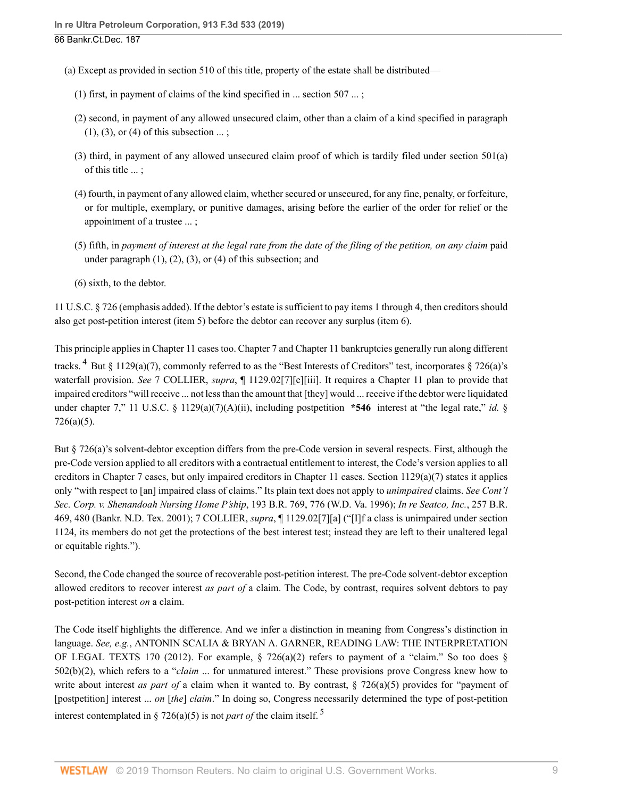- (a) Except as provided in [section 510](http://www.westlaw.com/Link/Document/FullText?findType=L&pubNum=1000546&cite=11USCAS510&originatingDoc=Ie0aabab01a7211e9a1b0e6625e646f8f&refType=LQ&originationContext=document&vr=3.0&rs=cblt1.0&transitionType=DocumentItem&contextData=(sc.UserEnteredCitation)) of this title, property of the estate shall be distributed—
	- (1) first, in payment of claims of the kind specified in ... section 507 ... ;
	- (2) second, in payment of any allowed unsecured claim, other than a claim of a kind specified in paragraph  $(1)$ ,  $(3)$ , or  $(4)$  of this subsection  $\dots$ ;
	- (3) third, in payment of any allowed unsecured claim proof of which is tardily filed under section 501(a) of this title ... ;
	- (4) fourth, in payment of any allowed claim, whether secured or unsecured, for any fine, penalty, or forfeiture, or for multiple, exemplary, or punitive damages, arising before the earlier of the order for relief or the appointment of a trustee ... ;
	- (5) fifth, in *payment of interest at the legal rate from the date of the filing of the petition, on any claim* paid under paragraph  $(1)$ ,  $(2)$ ,  $(3)$ , or  $(4)$  of this subsection; and
	- (6) sixth, to the debtor.

[11 U.S.C. § 726](http://www.westlaw.com/Link/Document/FullText?findType=L&pubNum=1000546&cite=11USCAS726&originatingDoc=Ie0aabab01a7211e9a1b0e6625e646f8f&refType=LQ&originationContext=document&vr=3.0&rs=cblt1.0&transitionType=DocumentItem&contextData=(sc.UserEnteredCitation)) (emphasis added). If the debtor's estate is sufficient to pay items 1 through 4, then creditors should also get post-petition interest (item 5) before the debtor can recover any surplus (item 6).

<span id="page-8-0"></span>This principle applies in Chapter 11 cases too. Chapter 7 and Chapter 11 bankruptcies generally run along different tracks. <sup>[4](#page-13-3)</sup> But § 1129(a)(7), commonly referred to as the "Best Interests of Creditors" test, incorporates [§ 726\(a\)](http://www.westlaw.com/Link/Document/FullText?findType=L&pubNum=1000546&cite=11USCAS726&originatingDoc=Ie0aabab01a7211e9a1b0e6625e646f8f&refType=RB&originationContext=document&vr=3.0&rs=cblt1.0&transitionType=DocumentItem&contextData=(sc.UserEnteredCitation)#co_pp_8b3b0000958a4)'s waterfall provision. *See* 7 COLLIER, *supra*, ¶ 1129.02[7][c][iii]. It requires a Chapter 11 plan to provide that impaired creditors "will receive ... not less than the amount that [they] would ... receive if the debtor were liquidated under chapter 7," [11 U.S.C. § 1129\(a\)\(7\)\(A\)\(ii\),](http://www.westlaw.com/Link/Document/FullText?findType=L&pubNum=1000546&cite=11USCAS1129&originatingDoc=Ie0aabab01a7211e9a1b0e6625e646f8f&refType=RB&originationContext=document&vr=3.0&rs=cblt1.0&transitionType=DocumentItem&contextData=(sc.UserEnteredCitation)#co_pp_b6a30000145e2) including postpetition **\*546** interest at "the legal rate," *[id.](http://www.westlaw.com/Link/Document/FullText?findType=L&pubNum=1000546&cite=11USCAS726&originatingDoc=Ie0aabab01a7211e9a1b0e6625e646f8f&refType=RB&originationContext=document&vr=3.0&rs=cblt1.0&transitionType=DocumentItem&contextData=(sc.UserEnteredCitation)#co_pp_488b0000d05e2)* § [726\(a\)\(5\).](http://www.westlaw.com/Link/Document/FullText?findType=L&pubNum=1000546&cite=11USCAS726&originatingDoc=Ie0aabab01a7211e9a1b0e6625e646f8f&refType=RB&originationContext=document&vr=3.0&rs=cblt1.0&transitionType=DocumentItem&contextData=(sc.UserEnteredCitation)#co_pp_488b0000d05e2)

But [§ 726\(a\)'](http://www.westlaw.com/Link/Document/FullText?findType=L&pubNum=1000546&cite=11USCAS726&originatingDoc=Ie0aabab01a7211e9a1b0e6625e646f8f&refType=RB&originationContext=document&vr=3.0&rs=cblt1.0&transitionType=DocumentItem&contextData=(sc.UserEnteredCitation)#co_pp_8b3b0000958a4)s solvent-debtor exception differs from the pre-Code version in several respects. First, although the pre-Code version applied to all creditors with a contractual entitlement to interest, the Code's version applies to all creditors in Chapter 7 cases, but only impaired creditors in Chapter 11 cases. [Section 1129\(a\)\(7\)](http://www.westlaw.com/Link/Document/FullText?findType=L&pubNum=1000546&cite=11USCAS1129&originatingDoc=Ie0aabab01a7211e9a1b0e6625e646f8f&refType=RB&originationContext=document&vr=3.0&rs=cblt1.0&transitionType=DocumentItem&contextData=(sc.UserEnteredCitation)#co_pp_36f10000408d4) states it applies only "with respect to [an] impaired class of claims." Its plain text does not apply to *unimpaired* claims. *See [Cont'l](http://www.westlaw.com/Link/Document/FullText?findType=Y&serNum=1996076109&pubNum=0000164&originatingDoc=Ie0aabab01a7211e9a1b0e6625e646f8f&refType=RP&fi=co_pp_sp_164_776&originationContext=document&vr=3.0&rs=cblt1.0&transitionType=DocumentItem&contextData=(sc.UserEnteredCitation)#co_pp_sp_164_776) [Sec. Corp. v. Shenandoah Nursing Home P'ship](http://www.westlaw.com/Link/Document/FullText?findType=Y&serNum=1996076109&pubNum=0000164&originatingDoc=Ie0aabab01a7211e9a1b0e6625e646f8f&refType=RP&fi=co_pp_sp_164_776&originationContext=document&vr=3.0&rs=cblt1.0&transitionType=DocumentItem&contextData=(sc.UserEnteredCitation)#co_pp_sp_164_776)*, 193 B.R. 769, 776 (W.D. Va. 1996); *[In re Seatco, Inc.](http://www.westlaw.com/Link/Document/FullText?findType=Y&serNum=2001090624&pubNum=0000164&originatingDoc=Ie0aabab01a7211e9a1b0e6625e646f8f&refType=RP&fi=co_pp_sp_164_480&originationContext=document&vr=3.0&rs=cblt1.0&transitionType=DocumentItem&contextData=(sc.UserEnteredCitation)#co_pp_sp_164_480)*, 257 B.R. [469, 480 \(Bankr. N.D. Tex. 2001\);](http://www.westlaw.com/Link/Document/FullText?findType=Y&serNum=2001090624&pubNum=0000164&originatingDoc=Ie0aabab01a7211e9a1b0e6625e646f8f&refType=RP&fi=co_pp_sp_164_480&originationContext=document&vr=3.0&rs=cblt1.0&transitionType=DocumentItem&contextData=(sc.UserEnteredCitation)#co_pp_sp_164_480) 7 COLLIER, *supra*, ¶ 1129.02[7][a] ("[I]f a class is unimpaired under [section](http://www.westlaw.com/Link/Document/FullText?findType=L&pubNum=1000546&cite=11USCAS1124&originatingDoc=Ie0aabab01a7211e9a1b0e6625e646f8f&refType=LQ&originationContext=document&vr=3.0&rs=cblt1.0&transitionType=DocumentItem&contextData=(sc.UserEnteredCitation)) [1124,](http://www.westlaw.com/Link/Document/FullText?findType=L&pubNum=1000546&cite=11USCAS1124&originatingDoc=Ie0aabab01a7211e9a1b0e6625e646f8f&refType=LQ&originationContext=document&vr=3.0&rs=cblt1.0&transitionType=DocumentItem&contextData=(sc.UserEnteredCitation)) its members do not get the protections of the best interest test; instead they are left to their unaltered legal or equitable rights.").

Second, the Code changed the source of recoverable post-petition interest. The pre-Code solvent-debtor exception allowed creditors to recover interest *as part of* a claim. The Code, by contrast, requires solvent debtors to pay post-petition interest *on* a claim.

<span id="page-8-1"></span>The Code itself highlights the difference. And we infer a distinction in meaning from Congress's distinction in language. *See, e.g.*, ANTONIN SCALIA & BRYAN A. GARNER, READING LAW: THE INTERPRETATION OF LEGAL TEXTS 170 (2012). For example,  $\S$  726(a)(2) refers to payment of a "claim." So too does  $\S$ [502\(b\)\(2\)](http://www.westlaw.com/Link/Document/FullText?findType=L&pubNum=1000546&cite=11USCAS502&originatingDoc=Ie0aabab01a7211e9a1b0e6625e646f8f&refType=RB&originationContext=document&vr=3.0&rs=cblt1.0&transitionType=DocumentItem&contextData=(sc.UserEnteredCitation)#co_pp_c0ae00006c482), which refers to a "*claim* ... for unmatured interest." These provisions prove Congress knew how to write about interest *as part of* a claim when it wanted to. By contrast, [§ 726\(a\)\(5\)](http://www.westlaw.com/Link/Document/FullText?findType=L&pubNum=1000546&cite=11USCAS726&originatingDoc=Ie0aabab01a7211e9a1b0e6625e646f8f&refType=RB&originationContext=document&vr=3.0&rs=cblt1.0&transitionType=DocumentItem&contextData=(sc.UserEnteredCitation)#co_pp_488b0000d05e2) provides for "payment of [postpetition] interest ... *on* [*the*] *claim*." In doing so, Congress necessarily determined the type of post-petition interest contemplated in [§ 726\(a\)\(5\)](http://www.westlaw.com/Link/Document/FullText?findType=L&pubNum=1000546&cite=11USCAS726&originatingDoc=Ie0aabab01a7211e9a1b0e6625e646f8f&refType=RB&originationContext=document&vr=3.0&rs=cblt1.0&transitionType=DocumentItem&contextData=(sc.UserEnteredCitation)#co_pp_488b0000d05e2) is not *part of* the claim itself. [5](#page-13-4)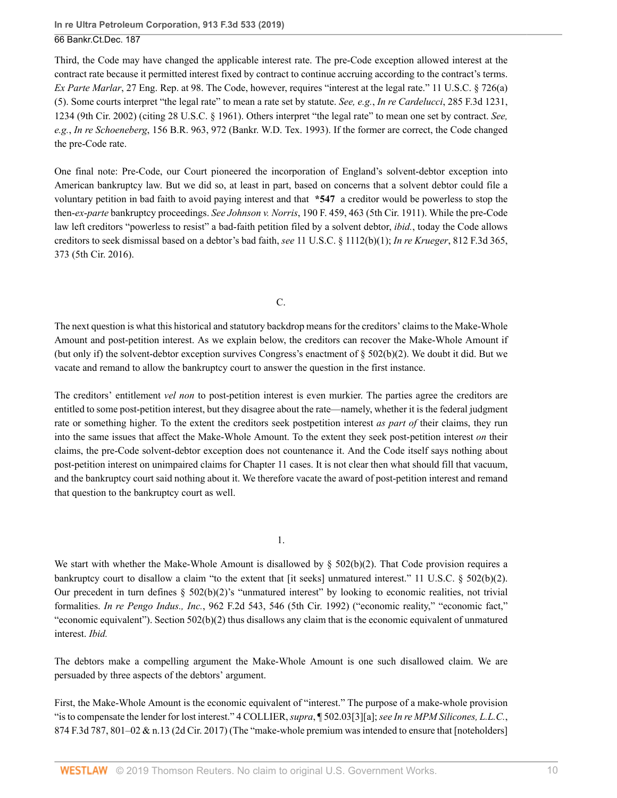**In re Ultra Petroleum Corporation, 913 F.3d 533 (2019)**

66 Bankr.Ct.Dec. 187

Third, the Code may have changed the applicable interest rate. The pre-Code exception allowed interest at the contract rate because it permitted interest fixed by contract to continue accruing according to the contract's terms. *Ex Parte Marlar*, 27 Eng. Rep. at 98. The Code, however, requires "interest at the legal rate." [11 U.S.C. § 726\(a\)](http://www.westlaw.com/Link/Document/FullText?findType=L&pubNum=1000546&cite=11USCAS726&originatingDoc=Ie0aabab01a7211e9a1b0e6625e646f8f&refType=RB&originationContext=document&vr=3.0&rs=cblt1.0&transitionType=DocumentItem&contextData=(sc.UserEnteredCitation)#co_pp_488b0000d05e2) [\(5\).](http://www.westlaw.com/Link/Document/FullText?findType=L&pubNum=1000546&cite=11USCAS726&originatingDoc=Ie0aabab01a7211e9a1b0e6625e646f8f&refType=RB&originationContext=document&vr=3.0&rs=cblt1.0&transitionType=DocumentItem&contextData=(sc.UserEnteredCitation)#co_pp_488b0000d05e2) Some courts interpret "the legal rate" to mean a rate set by statute. *See, e.g.*, *[In re Cardelucci](http://www.westlaw.com/Link/Document/FullText?findType=Y&serNum=2002239498&pubNum=0000506&originatingDoc=Ie0aabab01a7211e9a1b0e6625e646f8f&refType=RP&fi=co_pp_sp_506_1234&originationContext=document&vr=3.0&rs=cblt1.0&transitionType=DocumentItem&contextData=(sc.UserEnteredCitation)#co_pp_sp_506_1234)*, 285 F.3d 1231, [1234 \(9th Cir. 2002\)](http://www.westlaw.com/Link/Document/FullText?findType=Y&serNum=2002239498&pubNum=0000506&originatingDoc=Ie0aabab01a7211e9a1b0e6625e646f8f&refType=RP&fi=co_pp_sp_506_1234&originationContext=document&vr=3.0&rs=cblt1.0&transitionType=DocumentItem&contextData=(sc.UserEnteredCitation)#co_pp_sp_506_1234) (citing [28 U.S.C. § 1961](http://www.westlaw.com/Link/Document/FullText?findType=L&pubNum=1000546&cite=28USCAS1961&originatingDoc=Ie0aabab01a7211e9a1b0e6625e646f8f&refType=LQ&originationContext=document&vr=3.0&rs=cblt1.0&transitionType=DocumentItem&contextData=(sc.UserEnteredCitation))). Others interpret "the legal rate" to mean one set by contract. *See, e.g.*, *In re Schoeneberg*[, 156 B.R. 963, 972 \(Bankr. W.D. Tex. 1993\)](http://www.westlaw.com/Link/Document/FullText?findType=Y&serNum=1993144902&pubNum=0000164&originatingDoc=Ie0aabab01a7211e9a1b0e6625e646f8f&refType=RP&fi=co_pp_sp_164_972&originationContext=document&vr=3.0&rs=cblt1.0&transitionType=DocumentItem&contextData=(sc.UserEnteredCitation)#co_pp_sp_164_972). If the former are correct, the Code changed the pre-Code rate.

One final note: Pre-Code, our Court pioneered the incorporation of England's solvent-debtor exception into American bankruptcy law. But we did so, at least in part, based on concerns that a solvent debtor could file a voluntary petition in bad faith to avoid paying interest and that **\*547** a creditor would be powerless to stop the then-*ex*-*parte* bankruptcy proceedings. *See Johnson v. Norris*[, 190 F. 459, 463 \(5th Cir. 1911\)](http://www.westlaw.com/Link/Document/FullText?findType=Y&serNum=1911103878&pubNum=0000348&originatingDoc=Ie0aabab01a7211e9a1b0e6625e646f8f&refType=RP&fi=co_pp_sp_348_463&originationContext=document&vr=3.0&rs=cblt1.0&transitionType=DocumentItem&contextData=(sc.UserEnteredCitation)#co_pp_sp_348_463). While the pre-Code law left creditors "powerless to resist" a bad-faith petition filed by a solvent debtor, *ibid.*, today the Code allows creditors to seek dismissal based on a debtor's bad faith, *see* [11 U.S.C. § 1112\(b\)\(1\);](http://www.westlaw.com/Link/Document/FullText?findType=L&pubNum=1000546&cite=11USCAS1112&originatingDoc=Ie0aabab01a7211e9a1b0e6625e646f8f&refType=RB&originationContext=document&vr=3.0&rs=cblt1.0&transitionType=DocumentItem&contextData=(sc.UserEnteredCitation)#co_pp_3fed000053a85) *In re Krueger*[, 812 F.3d 365,](http://www.westlaw.com/Link/Document/FullText?findType=Y&serNum=2038097667&pubNum=0000506&originatingDoc=Ie0aabab01a7211e9a1b0e6625e646f8f&refType=RP&fi=co_pp_sp_506_373&originationContext=document&vr=3.0&rs=cblt1.0&transitionType=DocumentItem&contextData=(sc.UserEnteredCitation)#co_pp_sp_506_373) [373 \(5th Cir. 2016\).](http://www.westlaw.com/Link/Document/FullText?findType=Y&serNum=2038097667&pubNum=0000506&originatingDoc=Ie0aabab01a7211e9a1b0e6625e646f8f&refType=RP&fi=co_pp_sp_506_373&originationContext=document&vr=3.0&rs=cblt1.0&transitionType=DocumentItem&contextData=(sc.UserEnteredCitation)#co_pp_sp_506_373)

C.

The next question is what this historical and statutory backdrop means for the creditors' claims to the Make-Whole Amount and post-petition interest. As we explain below, the creditors can recover the Make-Whole Amount if (but only if) the solvent-debtor exception survives Congress's enactment of  $\S$  502(b)(2). We doubt it did. But we vacate and remand to allow the bankruptcy court to answer the question in the first instance.

The creditors' entitlement *vel non* to post-petition interest is even murkier. The parties agree the creditors are entitled to some post-petition interest, but they disagree about the rate—namely, whether it is the federal judgment rate or something higher. To the extent the creditors seek postpetition interest *as part of* their claims, they run into the same issues that affect the Make-Whole Amount. To the extent they seek post-petition interest *on* their claims, the pre-Code solvent-debtor exception does not countenance it. And the Code itself says nothing about post-petition interest on unimpaired claims for Chapter 11 cases. It is not clear then what should fill that vacuum, and the bankruptcy court said nothing about it. We therefore vacate the award of post-petition interest and remand that question to the bankruptcy court as well.

1.

We start with whether the Make-Whole Amount is disallowed by  $\S$  502(b)(2). That Code provision requires a bankruptcy court to disallow a claim "to the extent that [it seeks] unmatured interest." [11 U.S.C. § 502\(b\)\(2\)](http://www.westlaw.com/Link/Document/FullText?findType=L&pubNum=1000546&cite=11USCAS502&originatingDoc=Ie0aabab01a7211e9a1b0e6625e646f8f&refType=RB&originationContext=document&vr=3.0&rs=cblt1.0&transitionType=DocumentItem&contextData=(sc.UserEnteredCitation)#co_pp_c0ae00006c482). Our precedent in turn defines  $\S 502(b)(2)$ 's "unmatured interest" by looking to economic realities, not trivial formalities. *In re Pengo Indus., Inc.*[, 962 F.2d 543, 546 \(5th Cir. 1992\)](http://www.westlaw.com/Link/Document/FullText?findType=Y&serNum=1992098133&pubNum=0000350&originatingDoc=Ie0aabab01a7211e9a1b0e6625e646f8f&refType=RP&fi=co_pp_sp_350_546&originationContext=document&vr=3.0&rs=cblt1.0&transitionType=DocumentItem&contextData=(sc.UserEnteredCitation)#co_pp_sp_350_546) ("economic reality," "economic fact," "economic equivalent"). [Section 502\(b\)\(2\)](http://www.westlaw.com/Link/Document/FullText?findType=L&pubNum=1000546&cite=11USCAS502&originatingDoc=Ie0aabab01a7211e9a1b0e6625e646f8f&refType=RB&originationContext=document&vr=3.0&rs=cblt1.0&transitionType=DocumentItem&contextData=(sc.UserEnteredCitation)#co_pp_c0ae00006c482) thus disallows any claim that is the economic equivalent of unmatured interest. *Ibid.*

The debtors make a compelling argument the Make-Whole Amount is one such disallowed claim. We are persuaded by three aspects of the debtors' argument.

First, the Make-Whole Amount is the economic equivalent of "interest." The purpose of a make-whole provision "is to compensate the lender for lost interest." 4 COLLIER, *supra*, ¶ 502.03[3][a]; *see [In re MPM Silicones, L.L.C.](http://www.westlaw.com/Link/Document/FullText?findType=Y&serNum=2042942868&pubNum=0000506&originatingDoc=Ie0aabab01a7211e9a1b0e6625e646f8f&refType=RP&fi=co_pp_sp_506_801&originationContext=document&vr=3.0&rs=cblt1.0&transitionType=DocumentItem&contextData=(sc.UserEnteredCitation)#co_pp_sp_506_801)*, [874 F.3d 787, 801–02 & n.13 \(2d Cir. 2017\)](http://www.westlaw.com/Link/Document/FullText?findType=Y&serNum=2042942868&pubNum=0000506&originatingDoc=Ie0aabab01a7211e9a1b0e6625e646f8f&refType=RP&fi=co_pp_sp_506_801&originationContext=document&vr=3.0&rs=cblt1.0&transitionType=DocumentItem&contextData=(sc.UserEnteredCitation)#co_pp_sp_506_801) (The "make-whole premium was intended to ensure that [noteholders]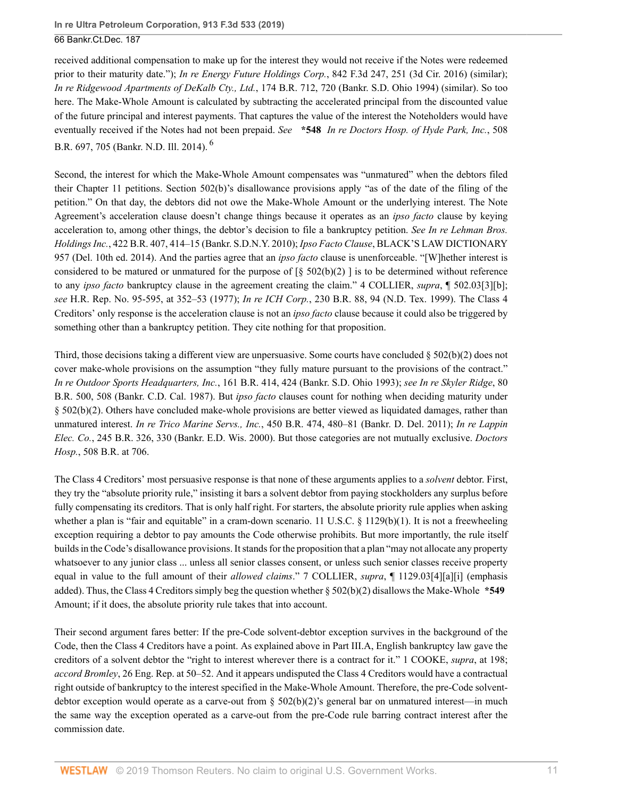received additional compensation to make up for the interest they would not receive if the Notes were redeemed prior to their maturity date."); *[In re Energy Future Holdings Corp.](http://www.westlaw.com/Link/Document/FullText?findType=Y&serNum=2040328295&pubNum=0000506&originatingDoc=Ie0aabab01a7211e9a1b0e6625e646f8f&refType=RP&fi=co_pp_sp_506_251&originationContext=document&vr=3.0&rs=cblt1.0&transitionType=DocumentItem&contextData=(sc.UserEnteredCitation)#co_pp_sp_506_251)*, 842 F.3d 247, 251 (3d Cir. 2016) (similar); *[In re Ridgewood Apartments of DeKalb Cty., Ltd.](http://www.westlaw.com/Link/Document/FullText?findType=Y&serNum=1994226939&pubNum=0000164&originatingDoc=Ie0aabab01a7211e9a1b0e6625e646f8f&refType=RP&fi=co_pp_sp_164_720&originationContext=document&vr=3.0&rs=cblt1.0&transitionType=DocumentItem&contextData=(sc.UserEnteredCitation)#co_pp_sp_164_720)*, 174 B.R. 712, 720 (Bankr. S.D. Ohio 1994) (similar). So too here. The Make-Whole Amount is calculated by subtracting the accelerated principal from the discounted value of the future principal and interest payments. That captures the value of the interest the Noteholders would have eventually received if the Notes had not been prepaid. *See* **\*548** *[In re Doctors Hosp. of Hyde Park, Inc.](http://www.westlaw.com/Link/Document/FullText?findType=Y&serNum=2033161910&pubNum=0000164&originatingDoc=Ie0aabab01a7211e9a1b0e6625e646f8f&refType=RP&fi=co_pp_sp_164_705&originationContext=document&vr=3.0&rs=cblt1.0&transitionType=DocumentItem&contextData=(sc.UserEnteredCitation)#co_pp_sp_164_705)*, 508 [B.R. 697, 705 \(Bankr. N.D. Ill. 2014\).](http://www.westlaw.com/Link/Document/FullText?findType=Y&serNum=2033161910&pubNum=0000164&originatingDoc=Ie0aabab01a7211e9a1b0e6625e646f8f&refType=RP&fi=co_pp_sp_164_705&originationContext=document&vr=3.0&rs=cblt1.0&transitionType=DocumentItem&contextData=(sc.UserEnteredCitation)#co_pp_sp_164_705) [6](#page-13-5)

<span id="page-10-0"></span>Second, the interest for which the Make-Whole Amount compensates was "unmatured" when the debtors filed their Chapter 11 petitions. [Section 502\(b\)](http://www.westlaw.com/Link/Document/FullText?findType=L&pubNum=1000546&cite=11USCAS502&originatingDoc=Ie0aabab01a7211e9a1b0e6625e646f8f&refType=RB&originationContext=document&vr=3.0&rs=cblt1.0&transitionType=DocumentItem&contextData=(sc.UserEnteredCitation)#co_pp_a83b000018c76)'s disallowance provisions apply "as of the date of the filing of the petition." On that day, the debtors did not owe the Make-Whole Amount or the underlying interest. The Note Agreement's acceleration clause doesn't change things because it operates as an *ipso facto* clause by keying acceleration to, among other things, the debtor's decision to file a bankruptcy petition. *See [In re Lehman Bros.](http://www.westlaw.com/Link/Document/FullText?findType=Y&serNum=2021207083&pubNum=0000164&originatingDoc=Ie0aabab01a7211e9a1b0e6625e646f8f&refType=RP&fi=co_pp_sp_164_414&originationContext=document&vr=3.0&rs=cblt1.0&transitionType=DocumentItem&contextData=(sc.UserEnteredCitation)#co_pp_sp_164_414) Holdings Inc.*[, 422 B.R. 407, 414–15 \(Bankr. S.D.N.Y. 2010\)](http://www.westlaw.com/Link/Document/FullText?findType=Y&serNum=2021207083&pubNum=0000164&originatingDoc=Ie0aabab01a7211e9a1b0e6625e646f8f&refType=RP&fi=co_pp_sp_164_414&originationContext=document&vr=3.0&rs=cblt1.0&transitionType=DocumentItem&contextData=(sc.UserEnteredCitation)#co_pp_sp_164_414); *Ipso Facto Clause*, BLACK'S LAW DICTIONARY 957 (Del. 10th ed. 2014). And the parties agree that an *ipso facto* clause is unenforceable. "[W]hether interest is considered to be matured or unmatured for the purpose of  $\lceil \S 502(b)(2) \rceil$  is to be determined without reference to any *ipso facto* bankruptcy clause in the agreement creating the claim." 4 COLLIER, *supra*, ¶ 502.03[3][b]; *see* [H.R. Rep. No. 95-595, at 352–53](http://www.westlaw.com/Link/Document/FullText?findType=Y&serNum=0100368790&pubNum=0100014&originatingDoc=Ie0aabab01a7211e9a1b0e6625e646f8f&refType=TV&originationContext=document&vr=3.0&rs=cblt1.0&transitionType=DocumentItem&contextData=(sc.UserEnteredCitation)) (1977); *In re ICH Corp.*[, 230 B.R. 88, 94 \(N.D. Tex. 1999\)](http://www.westlaw.com/Link/Document/FullText?findType=Y&serNum=1999048439&pubNum=0000164&originatingDoc=Ie0aabab01a7211e9a1b0e6625e646f8f&refType=RP&fi=co_pp_sp_164_94&originationContext=document&vr=3.0&rs=cblt1.0&transitionType=DocumentItem&contextData=(sc.UserEnteredCitation)#co_pp_sp_164_94). The Class 4 Creditors' only response is the acceleration clause is not an *ipso facto* clause because it could also be triggered by something other than a bankruptcy petition. They cite nothing for that proposition.

Third, those decisions taking a different view are unpersuasive. Some courts have concluded  $\S 502(b)(2)$  does not cover make-whole provisions on the assumption "they fully mature pursuant to the provisions of the contract." *In re Outdoor Sports Headquarters, Inc.*[, 161 B.R. 414, 424 \(Bankr. S.D. Ohio 1993\);](http://www.westlaw.com/Link/Document/FullText?findType=Y&serNum=1993236397&pubNum=0000164&originatingDoc=Ie0aabab01a7211e9a1b0e6625e646f8f&refType=RP&fi=co_pp_sp_164_424&originationContext=document&vr=3.0&rs=cblt1.0&transitionType=DocumentItem&contextData=(sc.UserEnteredCitation)#co_pp_sp_164_424) *see [In re Skyler Ridge](http://www.westlaw.com/Link/Document/FullText?findType=Y&serNum=1987156892&pubNum=0000164&originatingDoc=Ie0aabab01a7211e9a1b0e6625e646f8f&refType=RP&fi=co_pp_sp_164_508&originationContext=document&vr=3.0&rs=cblt1.0&transitionType=DocumentItem&contextData=(sc.UserEnteredCitation)#co_pp_sp_164_508)*, 80 [B.R. 500, 508 \(Bankr. C.D. Cal. 1987\)](http://www.westlaw.com/Link/Document/FullText?findType=Y&serNum=1987156892&pubNum=0000164&originatingDoc=Ie0aabab01a7211e9a1b0e6625e646f8f&refType=RP&fi=co_pp_sp_164_508&originationContext=document&vr=3.0&rs=cblt1.0&transitionType=DocumentItem&contextData=(sc.UserEnteredCitation)#co_pp_sp_164_508). But *ipso facto* clauses count for nothing when deciding maturity under [§ 502\(b\)\(2\).](http://www.westlaw.com/Link/Document/FullText?findType=L&pubNum=1000546&cite=11USCAS502&originatingDoc=Ie0aabab01a7211e9a1b0e6625e646f8f&refType=RB&originationContext=document&vr=3.0&rs=cblt1.0&transitionType=DocumentItem&contextData=(sc.UserEnteredCitation)#co_pp_c0ae00006c482) Others have concluded make-whole provisions are better viewed as liquidated damages, rather than unmatured interest. *In re Trico Marine Servs., Inc.*[, 450 B.R. 474, 480–81 \(Bankr. D. Del. 2011\)](http://www.westlaw.com/Link/Document/FullText?findType=Y&serNum=2025088690&pubNum=0000164&originatingDoc=Ie0aabab01a7211e9a1b0e6625e646f8f&refType=RP&fi=co_pp_sp_164_480&originationContext=document&vr=3.0&rs=cblt1.0&transitionType=DocumentItem&contextData=(sc.UserEnteredCitation)#co_pp_sp_164_480); *[In re Lappin](http://www.westlaw.com/Link/Document/FullText?findType=Y&serNum=2000066524&pubNum=0000164&originatingDoc=Ie0aabab01a7211e9a1b0e6625e646f8f&refType=RP&fi=co_pp_sp_164_330&originationContext=document&vr=3.0&rs=cblt1.0&transitionType=DocumentItem&contextData=(sc.UserEnteredCitation)#co_pp_sp_164_330) Elec. Co.*[, 245 B.R. 326, 330 \(Bankr. E.D. Wis. 2000\).](http://www.westlaw.com/Link/Document/FullText?findType=Y&serNum=2000066524&pubNum=0000164&originatingDoc=Ie0aabab01a7211e9a1b0e6625e646f8f&refType=RP&fi=co_pp_sp_164_330&originationContext=document&vr=3.0&rs=cblt1.0&transitionType=DocumentItem&contextData=(sc.UserEnteredCitation)#co_pp_sp_164_330) But those categories are not mutually exclusive. *[Doctors](http://www.westlaw.com/Link/Document/FullText?findType=Y&serNum=2033161910&pubNum=0000164&originatingDoc=Ie0aabab01a7211e9a1b0e6625e646f8f&refType=RP&fi=co_pp_sp_164_706&originationContext=document&vr=3.0&rs=cblt1.0&transitionType=DocumentItem&contextData=(sc.UserEnteredCitation)#co_pp_sp_164_706) Hosp.*[, 508 B.R. at 706.](http://www.westlaw.com/Link/Document/FullText?findType=Y&serNum=2033161910&pubNum=0000164&originatingDoc=Ie0aabab01a7211e9a1b0e6625e646f8f&refType=RP&fi=co_pp_sp_164_706&originationContext=document&vr=3.0&rs=cblt1.0&transitionType=DocumentItem&contextData=(sc.UserEnteredCitation)#co_pp_sp_164_706)

The Class 4 Creditors' most persuasive response is that none of these arguments applies to a *solvent* debtor. First, they try the "absolute priority rule," insisting it bars a solvent debtor from paying stockholders any surplus before fully compensating its creditors. That is only half right. For starters, the absolute priority rule applies when asking whether a plan is "fair and equitable" in a cram-down scenario. [11 U.S.C. § 1129\(b\)\(1\)](http://www.westlaw.com/Link/Document/FullText?findType=L&pubNum=1000546&cite=11USCAS1129&originatingDoc=Ie0aabab01a7211e9a1b0e6625e646f8f&refType=RB&originationContext=document&vr=3.0&rs=cblt1.0&transitionType=DocumentItem&contextData=(sc.UserEnteredCitation)#co_pp_3fed000053a85). It is not a freewheeling exception requiring a debtor to pay amounts the Code otherwise prohibits. But more importantly, the rule itself builds in the Code's disallowance provisions. It stands for the proposition that a plan "may not allocate any property whatsoever to any junior class ... unless all senior classes consent, or unless such senior classes receive property equal in value to the full amount of their *allowed claims*." 7 COLLIER, *supra*, ¶ 1129.03[4][a][i] (emphasis added). Thus, the Class 4 Creditors simply beg the question whether [§ 502\(b\)\(2\)](http://www.westlaw.com/Link/Document/FullText?findType=L&pubNum=1000546&cite=11USCAS502&originatingDoc=Ie0aabab01a7211e9a1b0e6625e646f8f&refType=RB&originationContext=document&vr=3.0&rs=cblt1.0&transitionType=DocumentItem&contextData=(sc.UserEnteredCitation)#co_pp_c0ae00006c482) disallows the Make-Whole **\*549** Amount; if it does, the absolute priority rule takes that into account.

Their second argument fares better: If the pre-Code solvent-debtor exception survives in the background of the Code, then the Class 4 Creditors have a point. As explained above in Part III.A, English bankruptcy law gave the creditors of a solvent debtor the "right to interest wherever there is a contract for it." 1 COOKE, *supra*, at 198; *accord Bromley*, 26 Eng. Rep. at 50–52. And it appears undisputed the Class 4 Creditors would have a contractual right outside of bankruptcy to the interest specified in the Make-Whole Amount. Therefore, the pre-Code solventdebtor exception would operate as a carve-out from  $\S 502(b)(2)$ 's general bar on unmatured interest—in much the same way the exception operated as a carve-out from the pre-Code rule barring contract interest after the commission date.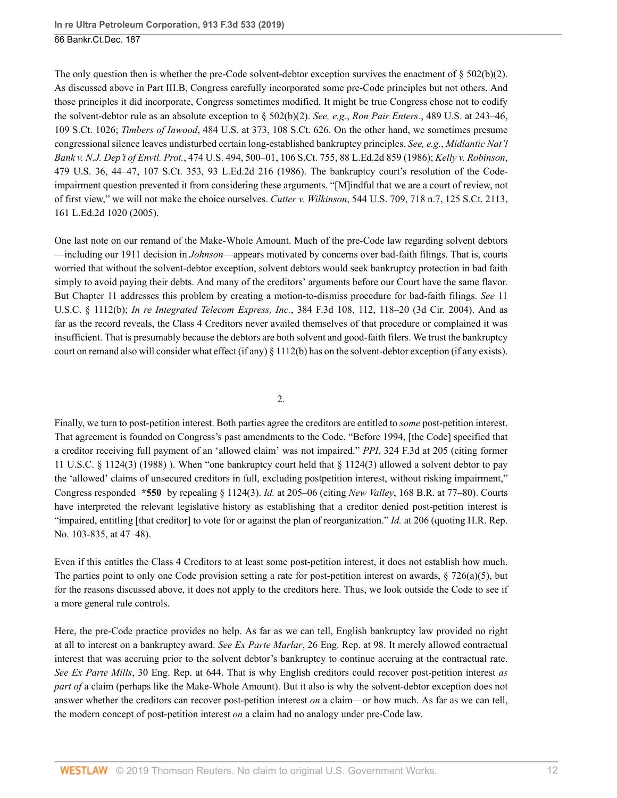The only question then is whether the pre-Code solvent-debtor exception survives the enactment of  $\S 502(b)(2)$ . As discussed above in Part III.B, Congress carefully incorporated some pre-Code principles but not others. And those principles it did incorporate, Congress sometimes modified. It might be true Congress chose not to codify the solvent-debtor rule as an absolute exception to [§ 502\(b\)\(2\).](http://www.westlaw.com/Link/Document/FullText?findType=L&pubNum=1000546&cite=11USCAS502&originatingDoc=Ie0aabab01a7211e9a1b0e6625e646f8f&refType=RB&originationContext=document&vr=3.0&rs=cblt1.0&transitionType=DocumentItem&contextData=(sc.UserEnteredCitation)#co_pp_c0ae00006c482) *See, e.g.*, *Ron Pair Enters.*[, 489 U.S. at 243–46,](http://www.westlaw.com/Link/Document/FullText?findType=Y&serNum=1989027116&pubNum=0000780&originatingDoc=Ie0aabab01a7211e9a1b0e6625e646f8f&refType=RP&fi=co_pp_sp_780_243&originationContext=document&vr=3.0&rs=cblt1.0&transitionType=DocumentItem&contextData=(sc.UserEnteredCitation)#co_pp_sp_780_243) [109 S.Ct. 1026;](http://www.westlaw.com/Link/Document/FullText?findType=Y&serNum=1989027116&pubNum=0000780&originatingDoc=Ie0aabab01a7211e9a1b0e6625e646f8f&refType=RP&fi=co_pp_sp_780_243&originationContext=document&vr=3.0&rs=cblt1.0&transitionType=DocumentItem&contextData=(sc.UserEnteredCitation)#co_pp_sp_780_243) *Timbers of Inwood*[, 484 U.S. at 373, 108 S.Ct. 626](http://www.westlaw.com/Link/Document/FullText?findType=Y&serNum=1988010767&pubNum=0000780&originatingDoc=Ie0aabab01a7211e9a1b0e6625e646f8f&refType=RP&fi=co_pp_sp_780_373&originationContext=document&vr=3.0&rs=cblt1.0&transitionType=DocumentItem&contextData=(sc.UserEnteredCitation)#co_pp_sp_780_373). On the other hand, we sometimes presume congressional silence leaves undisturbed certain long-established bankruptcy principles. *See, e.g.*, *[Midlantic Nat'l](http://www.westlaw.com/Link/Document/FullText?findType=Y&serNum=1986104706&pubNum=0000780&originatingDoc=Ie0aabab01a7211e9a1b0e6625e646f8f&refType=RP&fi=co_pp_sp_780_500&originationContext=document&vr=3.0&rs=cblt1.0&transitionType=DocumentItem&contextData=(sc.UserEnteredCitation)#co_pp_sp_780_500) Bank v. N.J. Dep't of Envtl. Prot.*[, 474 U.S. 494, 500–01, 106 S.Ct. 755, 88 L.Ed.2d 859 \(1986\)](http://www.westlaw.com/Link/Document/FullText?findType=Y&serNum=1986104706&pubNum=0000780&originatingDoc=Ie0aabab01a7211e9a1b0e6625e646f8f&refType=RP&fi=co_pp_sp_780_500&originationContext=document&vr=3.0&rs=cblt1.0&transitionType=DocumentItem&contextData=(sc.UserEnteredCitation)#co_pp_sp_780_500); *[Kelly v. Robinson](http://www.westlaw.com/Link/Document/FullText?findType=Y&serNum=1986155689&pubNum=0000780&originatingDoc=Ie0aabab01a7211e9a1b0e6625e646f8f&refType=RP&fi=co_pp_sp_780_44&originationContext=document&vr=3.0&rs=cblt1.0&transitionType=DocumentItem&contextData=(sc.UserEnteredCitation)#co_pp_sp_780_44)*, [479 U.S. 36, 44–47, 107 S.Ct. 353, 93 L.Ed.2d 216 \(1986\).](http://www.westlaw.com/Link/Document/FullText?findType=Y&serNum=1986155689&pubNum=0000780&originatingDoc=Ie0aabab01a7211e9a1b0e6625e646f8f&refType=RP&fi=co_pp_sp_780_44&originationContext=document&vr=3.0&rs=cblt1.0&transitionType=DocumentItem&contextData=(sc.UserEnteredCitation)#co_pp_sp_780_44) The bankruptcy court's resolution of the Codeimpairment question prevented it from considering these arguments. "[M]indful that we are a court of review, not of first view," we will not make the choice ourselves. *Cutter v. Wilkinson*[, 544 U.S. 709, 718 n.7, 125 S.Ct. 2113,](http://www.westlaw.com/Link/Document/FullText?findType=Y&serNum=2006699983&pubNum=0000780&originatingDoc=Ie0aabab01a7211e9a1b0e6625e646f8f&refType=RP&fi=co_pp_sp_780_718&originationContext=document&vr=3.0&rs=cblt1.0&transitionType=DocumentItem&contextData=(sc.UserEnteredCitation)#co_pp_sp_780_718) [161 L.Ed.2d 1020 \(2005\)](http://www.westlaw.com/Link/Document/FullText?findType=Y&serNum=2006699983&pubNum=0000780&originatingDoc=Ie0aabab01a7211e9a1b0e6625e646f8f&refType=RP&fi=co_pp_sp_780_718&originationContext=document&vr=3.0&rs=cblt1.0&transitionType=DocumentItem&contextData=(sc.UserEnteredCitation)#co_pp_sp_780_718).

One last note on our remand of the Make-Whole Amount. Much of the pre-Code law regarding solvent debtors —including our 1911 decision in *Johnson*—appears motivated by concerns over bad-faith filings. That is, courts worried that without the solvent-debtor exception, solvent debtors would seek bankruptcy protection in bad faith simply to avoid paying their debts. And many of the creditors' arguments before our Court have the same flavor. But Chapter 11 addresses this problem by creating a motion-to-dismiss procedure for bad-faith filings. *See* [11](http://www.westlaw.com/Link/Document/FullText?findType=L&pubNum=1000546&cite=11USCAS1112&originatingDoc=Ie0aabab01a7211e9a1b0e6625e646f8f&refType=RB&originationContext=document&vr=3.0&rs=cblt1.0&transitionType=DocumentItem&contextData=(sc.UserEnteredCitation)#co_pp_a83b000018c76) [U.S.C. § 1112\(b\)](http://www.westlaw.com/Link/Document/FullText?findType=L&pubNum=1000546&cite=11USCAS1112&originatingDoc=Ie0aabab01a7211e9a1b0e6625e646f8f&refType=RB&originationContext=document&vr=3.0&rs=cblt1.0&transitionType=DocumentItem&contextData=(sc.UserEnteredCitation)#co_pp_a83b000018c76); *In re Integrated Telecom Express, Inc.*[, 384 F.3d 108, 112, 118–20 \(3d Cir. 2004\).](http://www.westlaw.com/Link/Document/FullText?findType=Y&serNum=2005123755&pubNum=0000506&originatingDoc=Ie0aabab01a7211e9a1b0e6625e646f8f&refType=RP&fi=co_pp_sp_506_112&originationContext=document&vr=3.0&rs=cblt1.0&transitionType=DocumentItem&contextData=(sc.UserEnteredCitation)#co_pp_sp_506_112) And as far as the record reveals, the Class 4 Creditors never availed themselves of that procedure or complained it was insufficient. That is presumably because the debtors are both solvent and good-faith filers. We trust the bankruptcy court on remand also will consider what effect (if any)  $\S 1112(b)$  has on the solvent-debtor exception (if any exists).

2.

Finally, we turn to post-petition interest. Both parties agree the creditors are entitled to *some* post-petition interest. That agreement is founded on Congress's past amendments to the Code. "Before 1994, [the Code] specified that a creditor receiving full payment of an 'allowed claim' was not impaired." *PPI*[, 324 F.3d at 205](http://www.westlaw.com/Link/Document/FullText?findType=Y&serNum=2003243978&pubNum=0000506&originatingDoc=Ie0aabab01a7211e9a1b0e6625e646f8f&refType=RP&fi=co_pp_sp_506_205&originationContext=document&vr=3.0&rs=cblt1.0&transitionType=DocumentItem&contextData=(sc.UserEnteredCitation)#co_pp_sp_506_205) (citing former [11 U.S.C. § 1124\(3\) \(1988\)](http://www.westlaw.com/Link/Document/FullText?findType=L&pubNum=1000546&cite=11USCAS1124&originatingDoc=Ie0aabab01a7211e9a1b0e6625e646f8f&refType=LQ&originationContext=document&vr=3.0&rs=cblt1.0&transitionType=DocumentItem&contextData=(sc.UserEnteredCitation)) ). When "one bankruptcy court held that [§ 1124\(3\)](http://www.westlaw.com/Link/Document/FullText?findType=L&pubNum=1000546&cite=11USCAS1124&originatingDoc=Ie0aabab01a7211e9a1b0e6625e646f8f&refType=LQ&originationContext=document&vr=3.0&rs=cblt1.0&transitionType=DocumentItem&contextData=(sc.UserEnteredCitation)) allowed a solvent debtor to pay the 'allowed' claims of unsecured creditors in full, excluding postpetition interest, without risking impairment," Congress responded **\*550** by repealing [§ 1124\(3\).](http://www.westlaw.com/Link/Document/FullText?findType=L&pubNum=1000546&cite=11USCAS1124&originatingDoc=Ie0aabab01a7211e9a1b0e6625e646f8f&refType=LQ&originationContext=document&vr=3.0&rs=cblt1.0&transitionType=DocumentItem&contextData=(sc.UserEnteredCitation)) *Id.* [at 205–06](http://www.westlaw.com/Link/Document/FullText?findType=Y&serNum=2003243978&pubNum=0000506&originatingDoc=Ie0aabab01a7211e9a1b0e6625e646f8f&refType=RP&fi=co_pp_sp_506_205&originationContext=document&vr=3.0&rs=cblt1.0&transitionType=DocumentItem&contextData=(sc.UserEnteredCitation)#co_pp_sp_506_205) (citing *New Valley*[, 168 B.R. at 77–80\)](http://www.westlaw.com/Link/Document/FullText?findType=Y&serNum=1994110922&pubNum=0000164&originatingDoc=Ie0aabab01a7211e9a1b0e6625e646f8f&refType=RP&fi=co_pp_sp_164_77&originationContext=document&vr=3.0&rs=cblt1.0&transitionType=DocumentItem&contextData=(sc.UserEnteredCitation)#co_pp_sp_164_77). Courts have interpreted the relevant legislative history as establishing that a creditor denied post-petition interest is "impaired, entitling [that creditor] to vote for or against the plan of reorganization." *Id.* [at 206](http://www.westlaw.com/Link/Document/FullText?findType=Y&serNum=2003243978&pubNum=0000506&originatingDoc=Ie0aabab01a7211e9a1b0e6625e646f8f&refType=RP&fi=co_pp_sp_506_206&originationContext=document&vr=3.0&rs=cblt1.0&transitionType=DocumentItem&contextData=(sc.UserEnteredCitation)#co_pp_sp_506_206) (quoting [H.R. Rep.](http://www.westlaw.com/Link/Document/FullText?findType=Y&serNum=0104671320&pubNum=0100014&originatingDoc=Ie0aabab01a7211e9a1b0e6625e646f8f&refType=TV&originationContext=document&vr=3.0&rs=cblt1.0&transitionType=DocumentItem&contextData=(sc.UserEnteredCitation)) [No. 103-835, at 47–48](http://www.westlaw.com/Link/Document/FullText?findType=Y&serNum=0104671320&pubNum=0100014&originatingDoc=Ie0aabab01a7211e9a1b0e6625e646f8f&refType=TV&originationContext=document&vr=3.0&rs=cblt1.0&transitionType=DocumentItem&contextData=(sc.UserEnteredCitation))).

Even if this entitles the Class 4 Creditors to at least some post-petition interest, it does not establish how much. The parties point to only one Code provision setting a rate for post-petition interest on awards,  $\S 726(a)(5)$ , but for the reasons discussed above, it does not apply to the creditors here. Thus, we look outside the Code to see if a more general rule controls.

Here, the pre-Code practice provides no help. As far as we can tell, English bankruptcy law provided no right at all to interest on a bankruptcy award. *See Ex Parte Marlar*, 26 Eng. Rep. at 98. It merely allowed contractual interest that was accruing prior to the solvent debtor's bankruptcy to continue accruing at the contractual rate. *See Ex Parte Mills*, 30 Eng. Rep. at 644. That is why English creditors could recover post-petition interest *as part of* a claim (perhaps like the Make-Whole Amount). But it also is why the solvent-debtor exception does not answer whether the creditors can recover post-petition interest *on* a claim—or how much. As far as we can tell, the modern concept of post-petition interest *on* a claim had no analogy under pre-Code law.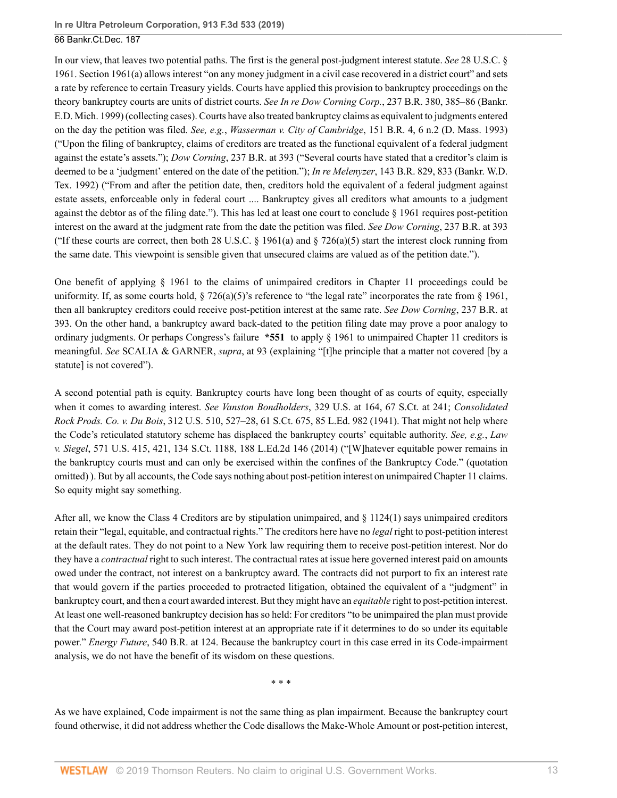In our view, that leaves two potential paths. The first is the general post-judgment interest statute. *See* [28 U.S.C. §](http://www.westlaw.com/Link/Document/FullText?findType=L&pubNum=1000546&cite=28USCAS1961&originatingDoc=Ie0aabab01a7211e9a1b0e6625e646f8f&refType=LQ&originationContext=document&vr=3.0&rs=cblt1.0&transitionType=DocumentItem&contextData=(sc.UserEnteredCitation)) [1961](http://www.westlaw.com/Link/Document/FullText?findType=L&pubNum=1000546&cite=28USCAS1961&originatingDoc=Ie0aabab01a7211e9a1b0e6625e646f8f&refType=LQ&originationContext=document&vr=3.0&rs=cblt1.0&transitionType=DocumentItem&contextData=(sc.UserEnteredCitation)). [Section 1961\(a\)](http://www.westlaw.com/Link/Document/FullText?findType=L&pubNum=1000546&cite=28USCAS1961&originatingDoc=Ie0aabab01a7211e9a1b0e6625e646f8f&refType=RB&originationContext=document&vr=3.0&rs=cblt1.0&transitionType=DocumentItem&contextData=(sc.UserEnteredCitation)#co_pp_8b3b0000958a4) allows interest "on any money judgment in a civil case recovered in a district court" and sets a rate by reference to certain Treasury yields. Courts have applied this provision to bankruptcy proceedings on the theory bankruptcy courts are units of district courts. *See In re Dow Corning Corp.*[, 237 B.R. 380, 385–86 \(Bankr.](http://www.westlaw.com/Link/Document/FullText?findType=Y&serNum=1999193361&pubNum=0000164&originatingDoc=Ie0aabab01a7211e9a1b0e6625e646f8f&refType=RP&fi=co_pp_sp_164_385&originationContext=document&vr=3.0&rs=cblt1.0&transitionType=DocumentItem&contextData=(sc.UserEnteredCitation)#co_pp_sp_164_385) [E.D. Mich. 1999\)](http://www.westlaw.com/Link/Document/FullText?findType=Y&serNum=1999193361&pubNum=0000164&originatingDoc=Ie0aabab01a7211e9a1b0e6625e646f8f&refType=RP&fi=co_pp_sp_164_385&originationContext=document&vr=3.0&rs=cblt1.0&transitionType=DocumentItem&contextData=(sc.UserEnteredCitation)#co_pp_sp_164_385) (collecting cases). Courts have also treated bankruptcy claims as equivalent to judgments entered on the day the petition was filed. *See, e.g.*, *Wasserman v. City of Cambridge*[, 151 B.R. 4, 6 n.2 \(D. Mass. 1993\)](http://www.westlaw.com/Link/Document/FullText?findType=Y&serNum=1993058474&pubNum=0000164&originatingDoc=Ie0aabab01a7211e9a1b0e6625e646f8f&refType=RP&fi=co_pp_sp_164_6&originationContext=document&vr=3.0&rs=cblt1.0&transitionType=DocumentItem&contextData=(sc.UserEnteredCitation)#co_pp_sp_164_6) ("Upon the filing of bankruptcy, claims of creditors are treated as the functional equivalent of a federal judgment against the estate's assets."); *Dow Corning*[, 237 B.R. at 393](http://www.westlaw.com/Link/Document/FullText?findType=Y&serNum=1999193361&pubNum=0000164&originatingDoc=Ie0aabab01a7211e9a1b0e6625e646f8f&refType=RP&fi=co_pp_sp_164_393&originationContext=document&vr=3.0&rs=cblt1.0&transitionType=DocumentItem&contextData=(sc.UserEnteredCitation)#co_pp_sp_164_393) ("Several courts have stated that a creditor's claim is deemed to be a 'judgment' entered on the date of the petition."); *In re Melenyzer*[, 143 B.R. 829, 833 \(Bankr. W.D.](http://www.westlaw.com/Link/Document/FullText?findType=Y&serNum=1992152284&pubNum=0000164&originatingDoc=Ie0aabab01a7211e9a1b0e6625e646f8f&refType=RP&fi=co_pp_sp_164_833&originationContext=document&vr=3.0&rs=cblt1.0&transitionType=DocumentItem&contextData=(sc.UserEnteredCitation)#co_pp_sp_164_833) [Tex. 1992\)](http://www.westlaw.com/Link/Document/FullText?findType=Y&serNum=1992152284&pubNum=0000164&originatingDoc=Ie0aabab01a7211e9a1b0e6625e646f8f&refType=RP&fi=co_pp_sp_164_833&originationContext=document&vr=3.0&rs=cblt1.0&transitionType=DocumentItem&contextData=(sc.UserEnteredCitation)#co_pp_sp_164_833) ("From and after the petition date, then, creditors hold the equivalent of a federal judgment against estate assets, enforceable only in federal court .... Bankruptcy gives all creditors what amounts to a judgment against the debtor as of the filing date."). This has led at least one court to conclude [§ 1961](http://www.westlaw.com/Link/Document/FullText?findType=L&pubNum=1000546&cite=28USCAS1961&originatingDoc=Ie0aabab01a7211e9a1b0e6625e646f8f&refType=LQ&originationContext=document&vr=3.0&rs=cblt1.0&transitionType=DocumentItem&contextData=(sc.UserEnteredCitation)) requires post-petition interest on the award at the judgment rate from the date the petition was filed. *See Dow Corning*[, 237 B.R. at 393](http://www.westlaw.com/Link/Document/FullText?findType=Y&serNum=1999193361&pubNum=0000164&originatingDoc=Ie0aabab01a7211e9a1b0e6625e646f8f&refType=RP&fi=co_pp_sp_164_393&originationContext=document&vr=3.0&rs=cblt1.0&transitionType=DocumentItem&contextData=(sc.UserEnteredCitation)#co_pp_sp_164_393) ("If these courts are correct, then both 28 U.S.C.  $\S$  1961(a) and  $\S$  726(a)(5) start the interest clock running from the same date. This viewpoint is sensible given that unsecured claims are valued as of the petition date.").

One benefit of applying [§ 1961](http://www.westlaw.com/Link/Document/FullText?findType=L&pubNum=1000546&cite=28USCAS1961&originatingDoc=Ie0aabab01a7211e9a1b0e6625e646f8f&refType=LQ&originationContext=document&vr=3.0&rs=cblt1.0&transitionType=DocumentItem&contextData=(sc.UserEnteredCitation)) to the claims of unimpaired creditors in Chapter 11 proceedings could be uniformity. If, as some courts hold,  $\S$  726(a)(5)'s reference to "the legal rate" incorporates the rate from  $\S$  1961, then all bankruptcy creditors could receive post-petition interest at the same rate. *See [Dow Corning](http://www.westlaw.com/Link/Document/FullText?findType=Y&serNum=1999193361&pubNum=0000164&originatingDoc=Ie0aabab01a7211e9a1b0e6625e646f8f&refType=RP&fi=co_pp_sp_164_393&originationContext=document&vr=3.0&rs=cblt1.0&transitionType=DocumentItem&contextData=(sc.UserEnteredCitation)#co_pp_sp_164_393)*, 237 B.R. at [393](http://www.westlaw.com/Link/Document/FullText?findType=Y&serNum=1999193361&pubNum=0000164&originatingDoc=Ie0aabab01a7211e9a1b0e6625e646f8f&refType=RP&fi=co_pp_sp_164_393&originationContext=document&vr=3.0&rs=cblt1.0&transitionType=DocumentItem&contextData=(sc.UserEnteredCitation)#co_pp_sp_164_393). On the other hand, a bankruptcy award back-dated to the petition filing date may prove a poor analogy to ordinary judgments. Or perhaps Congress's failure **\*551** to apply [§ 1961](http://www.westlaw.com/Link/Document/FullText?findType=L&pubNum=1000546&cite=28USCAS1961&originatingDoc=Ie0aabab01a7211e9a1b0e6625e646f8f&refType=LQ&originationContext=document&vr=3.0&rs=cblt1.0&transitionType=DocumentItem&contextData=(sc.UserEnteredCitation)) to unimpaired Chapter 11 creditors is meaningful. *See* SCALIA & GARNER, *supra*, at 93 (explaining "[t]he principle that a matter not covered [by a statute] is not covered").

A second potential path is equity. Bankruptcy courts have long been thought of as courts of equity, especially when it comes to awarding interest. *See Vanston Bondholders*[, 329 U.S. at 164, 67 S.Ct. at 241;](http://www.westlaw.com/Link/Document/FullText?findType=Y&serNum=1946116222&pubNum=0000708&originatingDoc=Ie0aabab01a7211e9a1b0e6625e646f8f&refType=RP&fi=co_pp_sp_708_241&originationContext=document&vr=3.0&rs=cblt1.0&transitionType=DocumentItem&contextData=(sc.UserEnteredCitation)#co_pp_sp_708_241) *[Consolidated](http://www.westlaw.com/Link/Document/FullText?findType=Y&serNum=1941119916&pubNum=0000780&originatingDoc=Ie0aabab01a7211e9a1b0e6625e646f8f&refType=RP&fi=co_pp_sp_780_527&originationContext=document&vr=3.0&rs=cblt1.0&transitionType=DocumentItem&contextData=(sc.UserEnteredCitation)#co_pp_sp_780_527) Rock Prods. Co. v. Du Bois*[, 312 U.S. 510, 527–28, 61 S.Ct. 675, 85 L.Ed. 982 \(1941\).](http://www.westlaw.com/Link/Document/FullText?findType=Y&serNum=1941119916&pubNum=0000780&originatingDoc=Ie0aabab01a7211e9a1b0e6625e646f8f&refType=RP&fi=co_pp_sp_780_527&originationContext=document&vr=3.0&rs=cblt1.0&transitionType=DocumentItem&contextData=(sc.UserEnteredCitation)#co_pp_sp_780_527) That might not help where the Code's reticulated statutory scheme has displaced the bankruptcy courts' equitable authority. *See, e.g.*, *[Law](http://www.westlaw.com/Link/Document/FullText?findType=Y&serNum=2032817941&pubNum=0000780&originatingDoc=Ie0aabab01a7211e9a1b0e6625e646f8f&refType=RP&fi=co_pp_sp_780_421&originationContext=document&vr=3.0&rs=cblt1.0&transitionType=DocumentItem&contextData=(sc.UserEnteredCitation)#co_pp_sp_780_421) v. Siegel*[, 571 U.S. 415, 421, 134 S.Ct. 1188, 188 L.Ed.2d 146 \(2014\)](http://www.westlaw.com/Link/Document/FullText?findType=Y&serNum=2032817941&pubNum=0000780&originatingDoc=Ie0aabab01a7211e9a1b0e6625e646f8f&refType=RP&fi=co_pp_sp_780_421&originationContext=document&vr=3.0&rs=cblt1.0&transitionType=DocumentItem&contextData=(sc.UserEnteredCitation)#co_pp_sp_780_421) ("[W]hatever equitable power remains in the bankruptcy courts must and can only be exercised within the confines of the Bankruptcy Code." (quotation omitted) ). But by all accounts, the Code says nothing about post-petition interest on unimpaired Chapter 11 claims. So equity might say something.

After all, we know the Class 4 Creditors are by stipulation unimpaired, and [§ 1124\(1\)](http://www.westlaw.com/Link/Document/FullText?findType=L&pubNum=1000546&cite=11USCAS1124&originatingDoc=Ie0aabab01a7211e9a1b0e6625e646f8f&refType=RB&originationContext=document&vr=3.0&rs=cblt1.0&transitionType=DocumentItem&contextData=(sc.UserEnteredCitation)#co_pp_f1c50000821b0) says unimpaired creditors retain their "legal, equitable, and contractual rights." The creditors here have no *legal* right to post-petition interest at the default rates. They do not point to a New York law requiring them to receive post-petition interest. Nor do they have a *contractual* right to such interest. The contractual rates at issue here governed interest paid on amounts owed under the contract, not interest on a bankruptcy award. The contracts did not purport to fix an interest rate that would govern if the parties proceeded to protracted litigation, obtained the equivalent of a "judgment" in bankruptcy court, and then a court awarded interest. But they might have an *equitable* right to post-petition interest. At least one well-reasoned bankruptcy decision has so held: For creditors "to be unimpaired the plan must provide that the Court may award post-petition interest at an appropriate rate if it determines to do so under its equitable power." *Energy Future*[, 540 B.R. at 124](http://www.westlaw.com/Link/Document/FullText?findType=Y&serNum=2037505751&pubNum=0000164&originatingDoc=Ie0aabab01a7211e9a1b0e6625e646f8f&refType=RP&fi=co_pp_sp_164_124&originationContext=document&vr=3.0&rs=cblt1.0&transitionType=DocumentItem&contextData=(sc.UserEnteredCitation)#co_pp_sp_164_124). Because the bankruptcy court in this case erred in its Code-impairment analysis, we do not have the benefit of its wisdom on these questions.

\* \* \*

As we have explained, Code impairment is not the same thing as plan impairment. Because the bankruptcy court found otherwise, it did not address whether the Code disallows the Make-Whole Amount or post-petition interest,